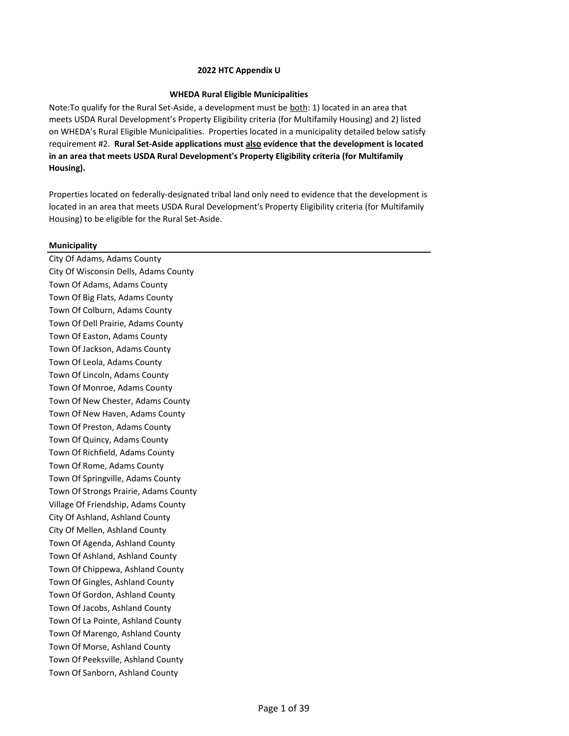## **WHEDA Rural Eligible Municipalities**

Note:To qualify for the Rural Set‐Aside, a development must be both: 1) located in an area that meets USDA Rural Development's Property Eligibility criteria (for Multifamily Housing) and 2) listed on WHEDA's Rural Eligible Municipalities. Properties located in a municipality detailed below satisfy requirement #2. **Rural Set-Aside applications must also evidence that the development is located in an area that meets USDA Rural Development's Property Eligibility criteria (for Multifamily Housing).**

Properties located on federally-designated tribal land only need to evidence that the development is located in an area that meets USDA Rural Development's Property Eligibility criteria (for Multifamily Housing) to be eligible for the Rural Set-Aside.

### **Municipality**

City Of Adams, Adams County City Of Wisconsin Dells, Adams County Town Of Adams, Adams County Town Of Big Flats, Adams County Town Of Colburn, Adams County Town Of Dell Prairie, Adams County Town Of Easton, Adams County Town Of Jackson, Adams County Town Of Leola, Adams County Town Of Lincoln, Adams County Town Of Monroe, Adams County Town Of New Chester, Adams County Town Of New Haven, Adams County Town Of Preston, Adams County Town Of Quincy, Adams County Town Of Richfield, Adams County Town Of Rome, Adams County Town Of Springville, Adams County Town Of Strongs Prairie, Adams County Village Of Friendship, Adams County City Of Ashland, Ashland County City Of Mellen, Ashland County Town Of Agenda, Ashland County Town Of Ashland, Ashland County Town Of Chippewa, Ashland County Town Of Gingles, Ashland County Town Of Gordon, Ashland County Town Of Jacobs, Ashland County Town Of La Pointe, Ashland County Town Of Marengo, Ashland County Town Of Morse, Ashland County Town Of Peeksville, Ashland County Town Of Sanborn, Ashland County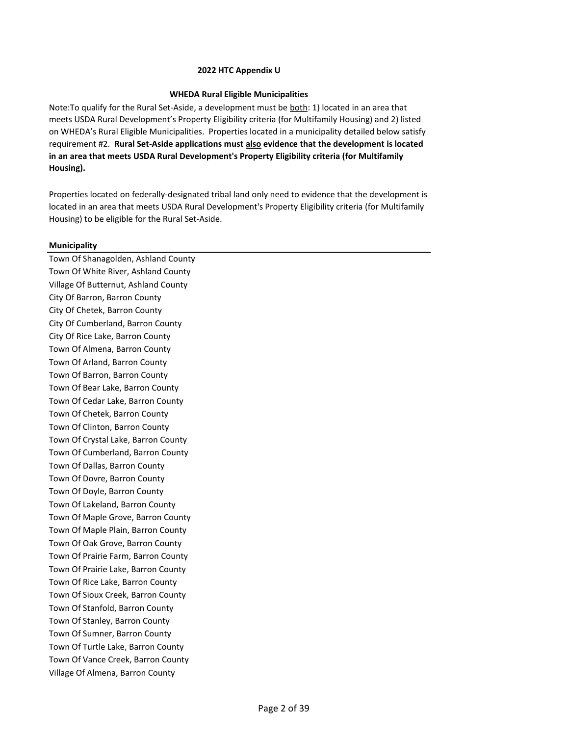# **WHEDA Rural Eligible Municipalities**

Note:To qualify for the Rural Set‐Aside, a development must be both: 1) located in an area that meets USDA Rural Development's Property Eligibility criteria (for Multifamily Housing) and 2) listed on WHEDA's Rural Eligible Municipalities. Properties located in a municipality detailed below satisfy requirement #2. **Rural Set-Aside applications must also evidence that the development is located in an area that meets USDA Rural Development's Property Eligibility criteria (for Multifamily Housing).**

Properties located on federally-designated tribal land only need to evidence that the development is located in an area that meets USDA Rural Development's Property Eligibility criteria (for Multifamily Housing) to be eligible for the Rural Set-Aside.

# **Municipality**

Town Of Shanagolden, Ashland County Town Of White River, Ashland County Village Of Butternut, Ashland County City Of Barron, Barron County City Of Chetek, Barron County City Of Cumberland, Barron County City Of Rice Lake, Barron County Town Of Almena, Barron County Town Of Arland, Barron County Town Of Barron, Barron County Town Of Bear Lake, Barron County Town Of Cedar Lake, Barron County Town Of Chetek, Barron County Town Of Clinton, Barron County Town Of Crystal Lake, Barron County Town Of Cumberland, Barron County Town Of Dallas, Barron County Town Of Dovre, Barron County Town Of Doyle, Barron County Town Of Lakeland, Barron County Town Of Maple Grove, Barron County Town Of Maple Plain, Barron County Town Of Oak Grove, Barron County Town Of Prairie Farm, Barron County Town Of Prairie Lake, Barron County Town Of Rice Lake, Barron County Town Of Sioux Creek, Barron County Town Of Stanfold, Barron County Town Of Stanley, Barron County Town Of Sumner, Barron County Town Of Turtle Lake, Barron County Town Of Vance Creek, Barron County Village Of Almena, Barron County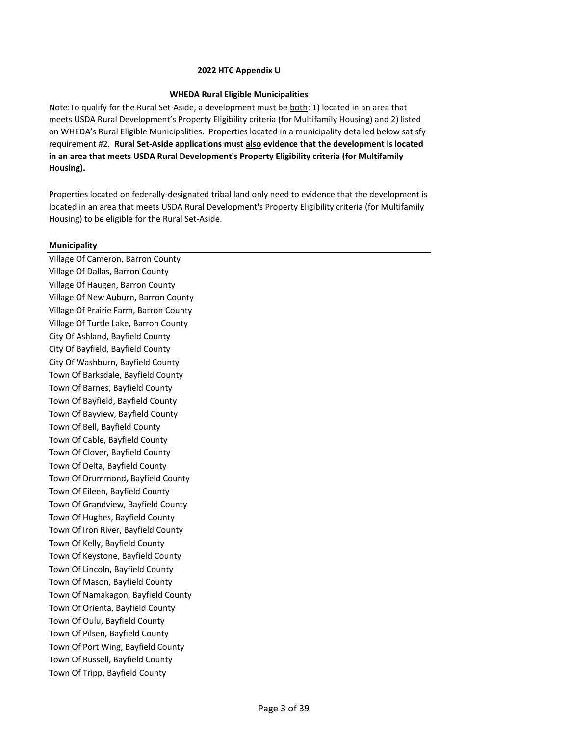# **WHEDA Rural Eligible Municipalities**

Note:To qualify for the Rural Set‐Aside, a development must be both: 1) located in an area that meets USDA Rural Development's Property Eligibility criteria (for Multifamily Housing) and 2) listed on WHEDA's Rural Eligible Municipalities. Properties located in a municipality detailed below satisfy requirement #2. **Rural Set-Aside applications must also evidence that the development is located in an area that meets USDA Rural Development's Property Eligibility criteria (for Multifamily Housing).**

Properties located on federally-designated tribal land only need to evidence that the development is located in an area that meets USDA Rural Development's Property Eligibility criteria (for Multifamily Housing) to be eligible for the Rural Set-Aside.

# **Municipality**

Village Of Cameron, Barron County Village Of Dallas, Barron County Village Of Haugen, Barron County Village Of New Auburn, Barron County Village Of Prairie Farm, Barron County Village Of Turtle Lake, Barron County City Of Ashland, Bayfield County City Of Bayfield, Bayfield County City Of Washburn, Bayfield County Town Of Barksdale, Bayfield County Town Of Barnes, Bayfield County Town Of Bayfield, Bayfield County Town Of Bayview, Bayfield County Town Of Bell, Bayfield County Town Of Cable, Bayfield County Town Of Clover, Bayfield County Town Of Delta, Bayfield County Town Of Drummond, Bayfield County Town Of Eileen, Bayfield County Town Of Grandview, Bayfield County Town Of Hughes, Bayfield County Town Of Iron River, Bayfield County Town Of Kelly, Bayfield County Town Of Keystone, Bayfield County Town Of Lincoln, Bayfield County Town Of Mason, Bayfield County Town Of Namakagon, Bayfield County Town Of Orienta, Bayfield County Town Of Oulu, Bayfield County Town Of Pilsen, Bayfield County Town Of Port Wing, Bayfield County Town Of Russell, Bayfield County Town Of Tripp, Bayfield County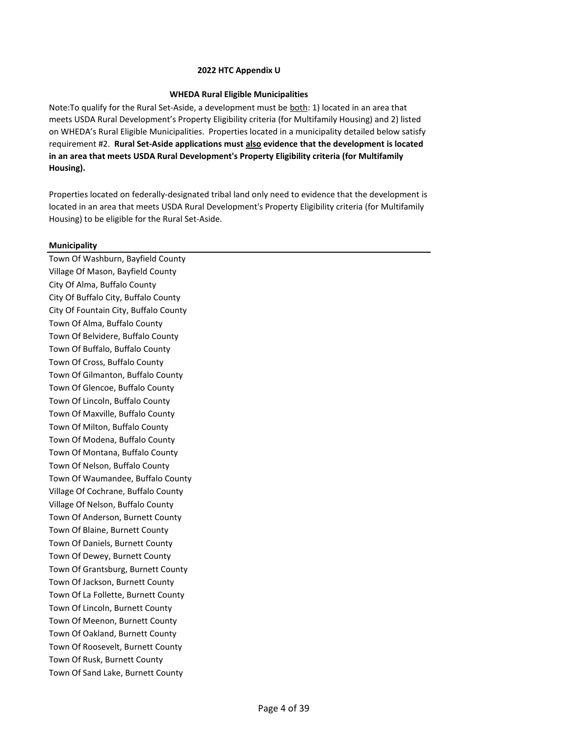## **WHEDA Rural Eligible Municipalities**

Note:To qualify for the Rural Set‐Aside, a development must be both: 1) located in an area that meets USDA Rural Development's Property Eligibility criteria (for Multifamily Housing) and 2) listed on WHEDA's Rural Eligible Municipalities. Properties located in a municipality detailed below satisfy requirement #2. **Rural Set-Aside applications must also evidence that the development is located in an area that meets USDA Rural Development's Property Eligibility criteria (for Multifamily Housing).**

Properties located on federally-designated tribal land only need to evidence that the development is located in an area that meets USDA Rural Development's Property Eligibility criteria (for Multifamily Housing) to be eligible for the Rural Set-Aside.

### **Municipality**

Town Of Washburn, Bayfield County Village Of Mason, Bayfield County City Of Alma, Buffalo County City Of Buffalo City, Buffalo County City Of Fountain City, Buffalo County Town Of Alma, Buffalo County Town Of Belvidere, Buffalo County Town Of Buffalo, Buffalo County Town Of Cross, Buffalo County Town Of Gilmanton, Buffalo County Town Of Glencoe, Buffalo County Town Of Lincoln, Buffalo County Town Of Maxville, Buffalo County Town Of Milton, Buffalo County Town Of Modena, Buffalo County Town Of Montana, Buffalo County Town Of Nelson, Buffalo County Town Of Waumandee, Buffalo County Village Of Cochrane, Buffalo County Village Of Nelson, Buffalo County Town Of Anderson, Burnett County Town Of Blaine, Burnett County Town Of Daniels, Burnett County Town Of Dewey, Burnett County Town Of Grantsburg, Burnett County Town Of Jackson, Burnett County Town Of La Follette, Burnett County Town Of Lincoln, Burnett County Town Of Meenon, Burnett County Town Of Oakland, Burnett County Town Of Roosevelt, Burnett County Town Of Rusk, Burnett County Town Of Sand Lake, Burnett County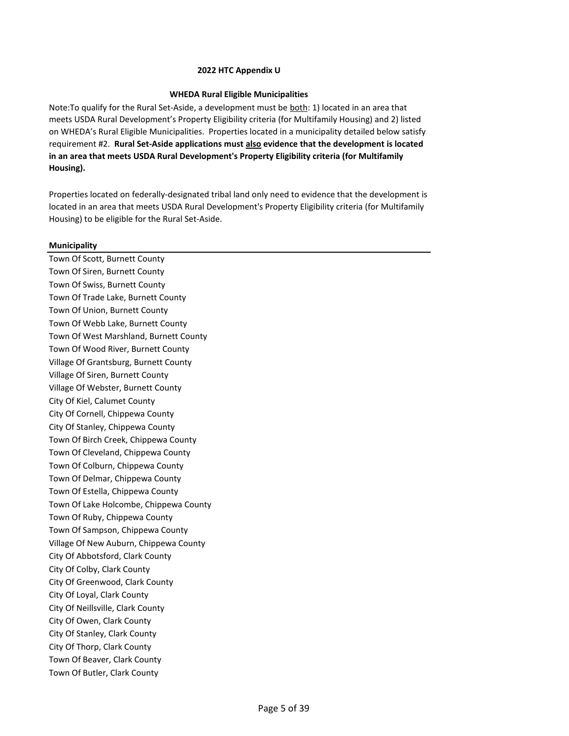# **WHEDA Rural Eligible Municipalities**

Note:To qualify for the Rural Set‐Aside, a development must be both: 1) located in an area that meets USDA Rural Development's Property Eligibility criteria (for Multifamily Housing) and 2) listed on WHEDA's Rural Eligible Municipalities. Properties located in a municipality detailed below satisfy requirement #2. **Rural Set-Aside applications must also evidence that the development is located in an area that meets USDA Rural Development's Property Eligibility criteria (for Multifamily Housing).**

Properties located on federally-designated tribal land only need to evidence that the development is located in an area that meets USDA Rural Development's Property Eligibility criteria (for Multifamily Housing) to be eligible for the Rural Set-Aside.

# **Municipality**

Town Of Scott, Burnett County Town Of Siren, Burnett County Town Of Swiss, Burnett County Town Of Trade Lake, Burnett County Town Of Union, Burnett County Town Of Webb Lake, Burnett County Town Of West Marshland, Burnett County Town Of Wood River, Burnett County Village Of Grantsburg, Burnett County Village Of Siren, Burnett County Village Of Webster, Burnett County City Of Kiel, Calumet County City Of Cornell, Chippewa County City Of Stanley, Chippewa County Town Of Birch Creek, Chippewa County Town Of Cleveland, Chippewa County Town Of Colburn, Chippewa County Town Of Delmar, Chippewa County Town Of Estella, Chippewa County Town Of Lake Holcombe, Chippewa County Town Of Ruby, Chippewa County Town Of Sampson, Chippewa County Village Of New Auburn, Chippewa County City Of Abbotsford, Clark County City Of Colby, Clark County City Of Greenwood, Clark County City Of Loyal, Clark County City Of Neillsville, Clark County City Of Owen, Clark County City Of Stanley, Clark County City Of Thorp, Clark County Town Of Beaver, Clark County Town Of Butler, Clark County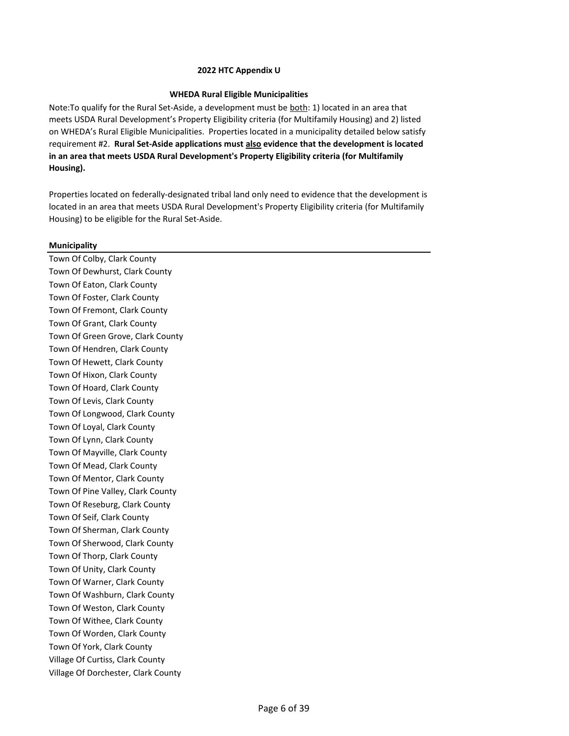# **WHEDA Rural Eligible Municipalities**

Note:To qualify for the Rural Set‐Aside, a development must be both: 1) located in an area that meets USDA Rural Development's Property Eligibility criteria (for Multifamily Housing) and 2) listed on WHEDA's Rural Eligible Municipalities. Properties located in a municipality detailed below satisfy requirement #2. **Rural Set-Aside applications must also evidence that the development is located in an area that meets USDA Rural Development's Property Eligibility criteria (for Multifamily Housing).**

Properties located on federally-designated tribal land only need to evidence that the development is located in an area that meets USDA Rural Development's Property Eligibility criteria (for Multifamily Housing) to be eligible for the Rural Set-Aside.

# **Municipality**

Town Of Colby, Clark County Town Of Dewhurst, Clark County Town Of Eaton, Clark County Town Of Foster, Clark County Town Of Fremont, Clark County Town Of Grant, Clark County Town Of Green Grove, Clark County Town Of Hendren, Clark County Town Of Hewett, Clark County Town Of Hixon, Clark County Town Of Hoard, Clark County Town Of Levis, Clark County Town Of Longwood, Clark County Town Of Loyal, Clark County Town Of Lynn, Clark County Town Of Mayville, Clark County Town Of Mead, Clark County Town Of Mentor, Clark County Town Of Pine Valley, Clark County Town Of Reseburg, Clark County Town Of Seif, Clark County Town Of Sherman, Clark County Town Of Sherwood, Clark County Town Of Thorp, Clark County Town Of Unity, Clark County Town Of Warner, Clark County Town Of Washburn, Clark County Town Of Weston, Clark County Town Of Withee, Clark County Town Of Worden, Clark County Town Of York, Clark County Village Of Curtiss, Clark County Village Of Dorchester, Clark County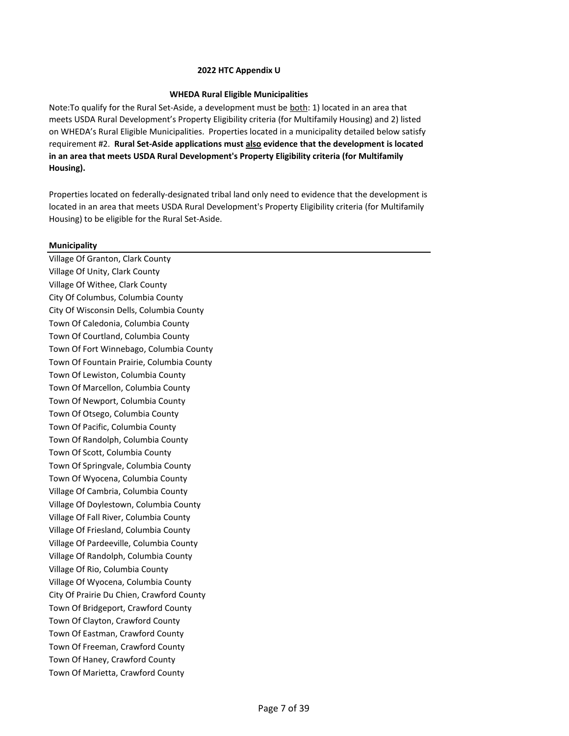## **WHEDA Rural Eligible Municipalities**

Note:To qualify for the Rural Set‐Aside, a development must be both: 1) located in an area that meets USDA Rural Development's Property Eligibility criteria (for Multifamily Housing) and 2) listed on WHEDA's Rural Eligible Municipalities. Properties located in a municipality detailed below satisfy requirement #2. **Rural Set-Aside applications must also evidence that the development is located in an area that meets USDA Rural Development's Property Eligibility criteria (for Multifamily Housing).**

Properties located on federally-designated tribal land only need to evidence that the development is located in an area that meets USDA Rural Development's Property Eligibility criteria (for Multifamily Housing) to be eligible for the Rural Set-Aside.

# **Municipality**

Village Of Granton, Clark County Village Of Unity, Clark County Village Of Withee, Clark County City Of Columbus, Columbia County City Of Wisconsin Dells, Columbia County Town Of Caledonia, Columbia County Town Of Courtland, Columbia County Town Of Fort Winnebago, Columbia County Town Of Fountain Prairie, Columbia County Town Of Lewiston, Columbia County Town Of Marcellon, Columbia County Town Of Newport, Columbia County Town Of Otsego, Columbia County Town Of Pacific, Columbia County Town Of Randolph, Columbia County Town Of Scott, Columbia County Town Of Springvale, Columbia County Town Of Wyocena, Columbia County Village Of Cambria, Columbia County Village Of Doylestown, Columbia County Village Of Fall River, Columbia County Village Of Friesland, Columbia County Village Of Pardeeville, Columbia County Village Of Randolph, Columbia County Village Of Rio, Columbia County Village Of Wyocena, Columbia County City Of Prairie Du Chien, Crawford County Town Of Bridgeport, Crawford County Town Of Clayton, Crawford County Town Of Eastman, Crawford County Town Of Freeman, Crawford County Town Of Haney, Crawford County Town Of Marietta, Crawford County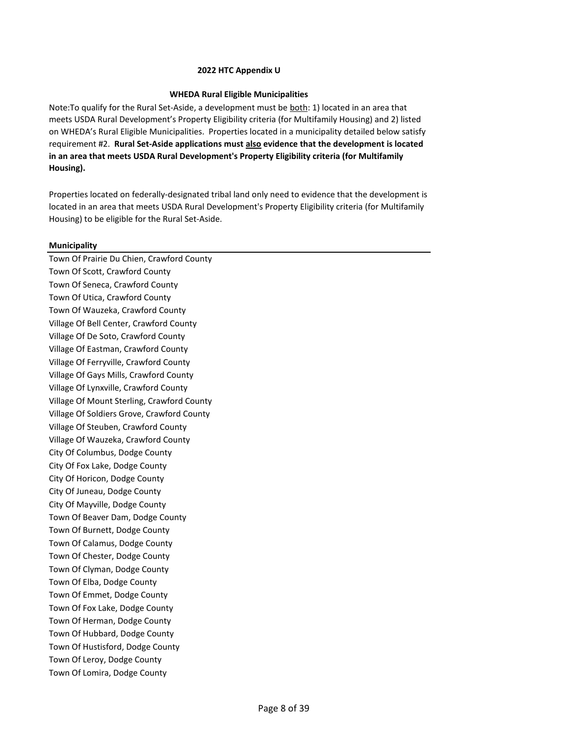# **WHEDA Rural Eligible Municipalities**

Note:To qualify for the Rural Set‐Aside, a development must be both: 1) located in an area that meets USDA Rural Development's Property Eligibility criteria (for Multifamily Housing) and 2) listed on WHEDA's Rural Eligible Municipalities. Properties located in a municipality detailed below satisfy requirement #2. **Rural Set-Aside applications must also evidence that the development is located in an area that meets USDA Rural Development's Property Eligibility criteria (for Multifamily Housing).**

Properties located on federally-designated tribal land only need to evidence that the development is located in an area that meets USDA Rural Development's Property Eligibility criteria (for Multifamily Housing) to be eligible for the Rural Set-Aside.

# **Municipality**

Town Of Prairie Du Chien, Crawford County Town Of Scott, Crawford County Town Of Seneca, Crawford County Town Of Utica, Crawford County Town Of Wauzeka, Crawford County Village Of Bell Center, Crawford County Village Of De Soto, Crawford County Village Of Eastman, Crawford County Village Of Ferryville, Crawford County Village Of Gays Mills, Crawford County Village Of Lynxville, Crawford County Village Of Mount Sterling, Crawford County Village Of Soldiers Grove, Crawford County Village Of Steuben, Crawford County Village Of Wauzeka, Crawford County City Of Columbus, Dodge County City Of Fox Lake, Dodge County City Of Horicon, Dodge County City Of Juneau, Dodge County City Of Mayville, Dodge County Town Of Beaver Dam, Dodge County Town Of Burnett, Dodge County Town Of Calamus, Dodge County Town Of Chester, Dodge County Town Of Clyman, Dodge County Town Of Elba, Dodge County Town Of Emmet, Dodge County Town Of Fox Lake, Dodge County Town Of Herman, Dodge County Town Of Hubbard, Dodge County Town Of Hustisford, Dodge County Town Of Leroy, Dodge County Town Of Lomira, Dodge County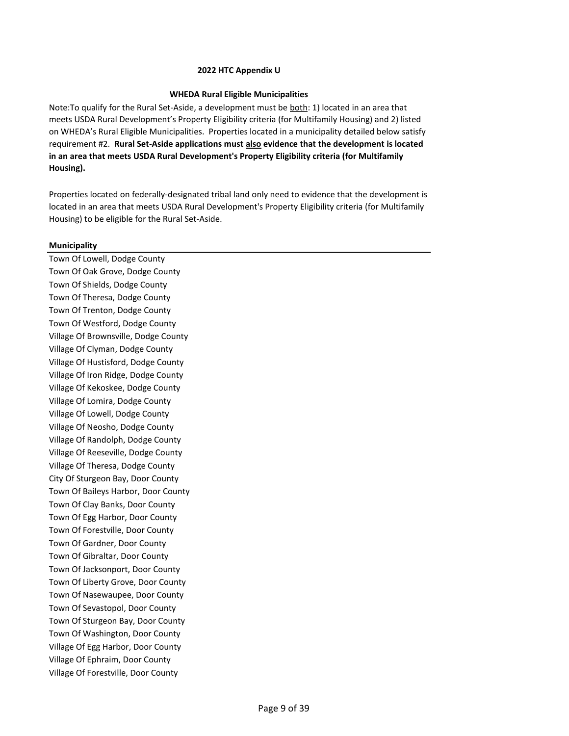## **WHEDA Rural Eligible Municipalities**

Note:To qualify for the Rural Set‐Aside, a development must be both: 1) located in an area that meets USDA Rural Development's Property Eligibility criteria (for Multifamily Housing) and 2) listed on WHEDA's Rural Eligible Municipalities. Properties located in a municipality detailed below satisfy requirement #2. **Rural Set-Aside applications must also evidence that the development is located in an area that meets USDA Rural Development's Property Eligibility criteria (for Multifamily Housing).**

Properties located on federally-designated tribal land only need to evidence that the development is located in an area that meets USDA Rural Development's Property Eligibility criteria (for Multifamily Housing) to be eligible for the Rural Set-Aside.

# **Municipality**

Town Of Lowell, Dodge County Town Of Oak Grove, Dodge County Town Of Shields, Dodge County Town Of Theresa, Dodge County Town Of Trenton, Dodge County Town Of Westford, Dodge County Village Of Brownsville, Dodge County Village Of Clyman, Dodge County Village Of Hustisford, Dodge County Village Of Iron Ridge, Dodge County Village Of Kekoskee, Dodge County Village Of Lomira, Dodge County Village Of Lowell, Dodge County Village Of Neosho, Dodge County Village Of Randolph, Dodge County Village Of Reeseville, Dodge County Village Of Theresa, Dodge County City Of Sturgeon Bay, Door County Town Of Baileys Harbor, Door County Town Of Clay Banks, Door County Town Of Egg Harbor, Door County Town Of Forestville, Door County Town Of Gardner, Door County Town Of Gibraltar, Door County Town Of Jacksonport, Door County Town Of Liberty Grove, Door County Town Of Nasewaupee, Door County Town Of Sevastopol, Door County Town Of Sturgeon Bay, Door County Town Of Washington, Door County Village Of Egg Harbor, Door County Village Of Ephraim, Door County Village Of Forestville, Door County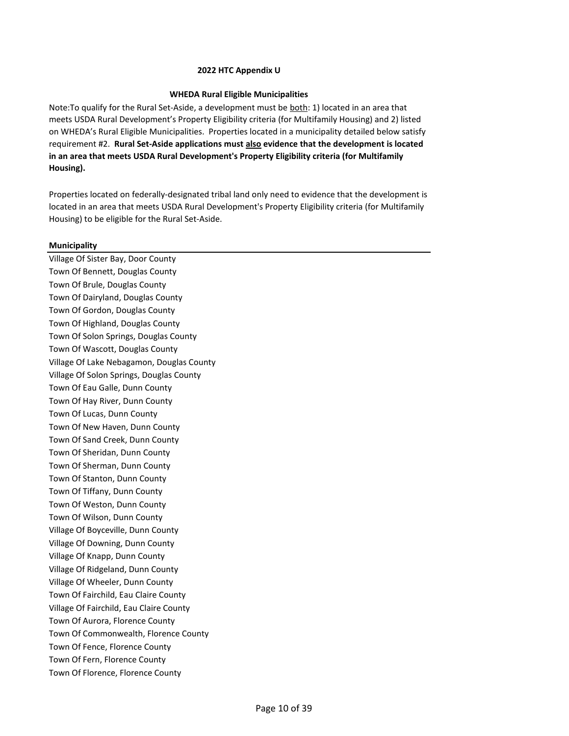## **WHEDA Rural Eligible Municipalities**

Note:To qualify for the Rural Set‐Aside, a development must be both: 1) located in an area that meets USDA Rural Development's Property Eligibility criteria (for Multifamily Housing) and 2) listed on WHEDA's Rural Eligible Municipalities. Properties located in a municipality detailed below satisfy requirement #2. **Rural Set-Aside applications must also evidence that the development is located in an area that meets USDA Rural Development's Property Eligibility criteria (for Multifamily Housing).**

Properties located on federally-designated tribal land only need to evidence that the development is located in an area that meets USDA Rural Development's Property Eligibility criteria (for Multifamily Housing) to be eligible for the Rural Set-Aside.

# **Municipality**

Village Of Sister Bay, Door County Town Of Bennett, Douglas County Town Of Brule, Douglas County Town Of Dairyland, Douglas County Town Of Gordon, Douglas County Town Of Highland, Douglas County Town Of Solon Springs, Douglas County Town Of Wascott, Douglas County Village Of Lake Nebagamon, Douglas County Village Of Solon Springs, Douglas County Town Of Eau Galle, Dunn County Town Of Hay River, Dunn County Town Of Lucas, Dunn County Town Of New Haven, Dunn County Town Of Sand Creek, Dunn County Town Of Sheridan, Dunn County Town Of Sherman, Dunn County Town Of Stanton, Dunn County Town Of Tiffany, Dunn County Town Of Weston, Dunn County Town Of Wilson, Dunn County Village Of Boyceville, Dunn County Village Of Downing, Dunn County Village Of Knapp, Dunn County Village Of Ridgeland, Dunn County Village Of Wheeler, Dunn County Town Of Fairchild, Eau Claire County Village Of Fairchild, Eau Claire County Town Of Aurora, Florence County Town Of Commonwealth, Florence County Town Of Fence, Florence County Town Of Fern, Florence County Town Of Florence, Florence County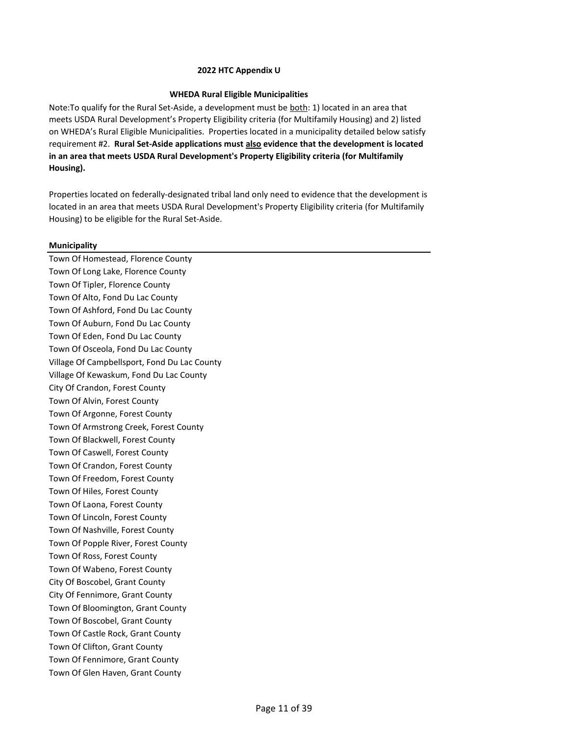## **WHEDA Rural Eligible Municipalities**

Note:To qualify for the Rural Set‐Aside, a development must be both: 1) located in an area that meets USDA Rural Development's Property Eligibility criteria (for Multifamily Housing) and 2) listed on WHEDA's Rural Eligible Municipalities. Properties located in a municipality detailed below satisfy requirement #2. **Rural Set-Aside applications must also evidence that the development is located in an area that meets USDA Rural Development's Property Eligibility criteria (for Multifamily Housing).**

Properties located on federally-designated tribal land only need to evidence that the development is located in an area that meets USDA Rural Development's Property Eligibility criteria (for Multifamily Housing) to be eligible for the Rural Set-Aside.

# **Municipality**

Town Of Homestead, Florence County Town Of Long Lake, Florence County Town Of Tipler, Florence County Town Of Alto, Fond Du Lac County Town Of Ashford, Fond Du Lac County Town Of Auburn, Fond Du Lac County Town Of Eden, Fond Du Lac County Town Of Osceola, Fond Du Lac County Village Of Campbellsport, Fond Du Lac County Village Of Kewaskum, Fond Du Lac County City Of Crandon, Forest County Town Of Alvin, Forest County Town Of Argonne, Forest County Town Of Armstrong Creek, Forest County Town Of Blackwell, Forest County Town Of Caswell, Forest County Town Of Crandon, Forest County Town Of Freedom, Forest County Town Of Hiles, Forest County Town Of Laona, Forest County Town Of Lincoln, Forest County Town Of Nashville, Forest County Town Of Popple River, Forest County Town Of Ross, Forest County Town Of Wabeno, Forest County City Of Boscobel, Grant County City Of Fennimore, Grant County Town Of Bloomington, Grant County Town Of Boscobel, Grant County Town Of Castle Rock, Grant County Town Of Clifton, Grant County Town Of Fennimore, Grant County Town Of Glen Haven, Grant County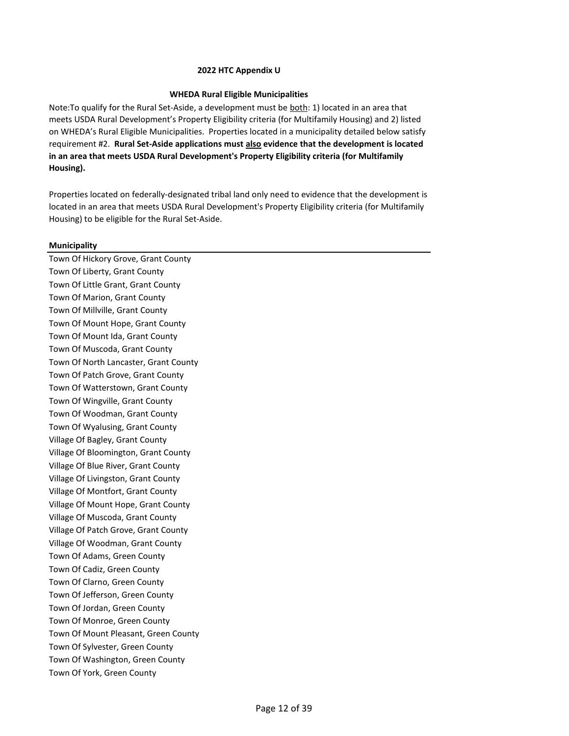## **WHEDA Rural Eligible Municipalities**

Note:To qualify for the Rural Set‐Aside, a development must be both: 1) located in an area that meets USDA Rural Development's Property Eligibility criteria (for Multifamily Housing) and 2) listed on WHEDA's Rural Eligible Municipalities. Properties located in a municipality detailed below satisfy requirement #2. **Rural Set-Aside applications must also evidence that the development is located in an area that meets USDA Rural Development's Property Eligibility criteria (for Multifamily Housing).**

Properties located on federally-designated tribal land only need to evidence that the development is located in an area that meets USDA Rural Development's Property Eligibility criteria (for Multifamily Housing) to be eligible for the Rural Set-Aside.

# **Municipality**

Town Of Hickory Grove, Grant County Town Of Liberty, Grant County Town Of Little Grant, Grant County Town Of Marion, Grant County Town Of Millville, Grant County Town Of Mount Hope, Grant County Town Of Mount Ida, Grant County Town Of Muscoda, Grant County Town Of North Lancaster, Grant County Town Of Patch Grove, Grant County Town Of Watterstown, Grant County Town Of Wingville, Grant County Town Of Woodman, Grant County Town Of Wyalusing, Grant County Village Of Bagley, Grant County Village Of Bloomington, Grant County Village Of Blue River, Grant County Village Of Livingston, Grant County Village Of Montfort, Grant County Village Of Mount Hope, Grant County Village Of Muscoda, Grant County Village Of Patch Grove, Grant County Village Of Woodman, Grant County Town Of Adams, Green County Town Of Cadiz, Green County Town Of Clarno, Green County Town Of Jefferson, Green County Town Of Jordan, Green County Town Of Monroe, Green County Town Of Mount Pleasant, Green County Town Of Sylvester, Green County Town Of Washington, Green County Town Of York, Green County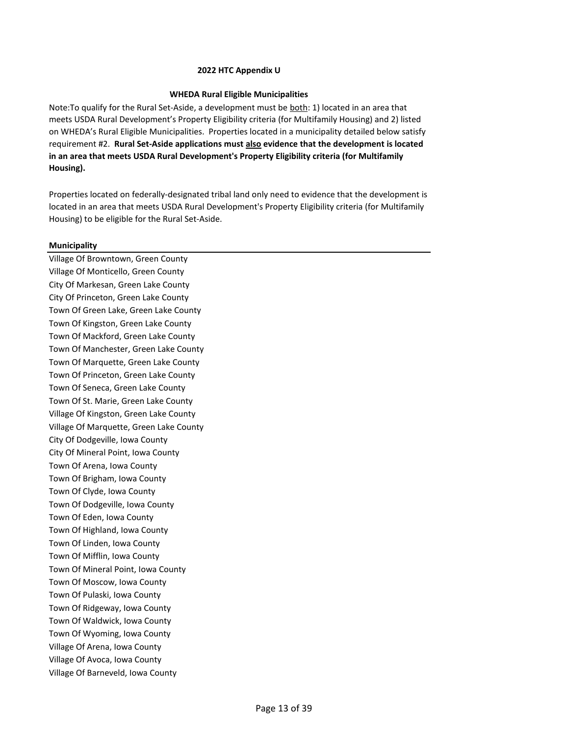## **WHEDA Rural Eligible Municipalities**

Note:To qualify for the Rural Set‐Aside, a development must be both: 1) located in an area that meets USDA Rural Development's Property Eligibility criteria (for Multifamily Housing) and 2) listed on WHEDA's Rural Eligible Municipalities. Properties located in a municipality detailed below satisfy requirement #2. **Rural Set-Aside applications must also evidence that the development is located in an area that meets USDA Rural Development's Property Eligibility criteria (for Multifamily Housing).**

Properties located on federally-designated tribal land only need to evidence that the development is located in an area that meets USDA Rural Development's Property Eligibility criteria (for Multifamily Housing) to be eligible for the Rural Set-Aside.

# **Municipality**

Village Of Browntown, Green County Village Of Monticello, Green County City Of Markesan, Green Lake County City Of Princeton, Green Lake County Town Of Green Lake, Green Lake County Town Of Kingston, Green Lake County Town Of Mackford, Green Lake County Town Of Manchester, Green Lake County Town Of Marquette, Green Lake County Town Of Princeton, Green Lake County Town Of Seneca, Green Lake County Town Of St. Marie, Green Lake County Village Of Kingston, Green Lake County Village Of Marquette, Green Lake County City Of Dodgeville, Iowa County City Of Mineral Point, Iowa County Town Of Arena, Iowa County Town Of Brigham, Iowa County Town Of Clyde, Iowa County Town Of Dodgeville, Iowa County Town Of Eden, Iowa County Town Of Highland, Iowa County Town Of Linden, Iowa County Town Of Mifflin, Iowa County Town Of Mineral Point, Iowa County Town Of Moscow, Iowa County Town Of Pulaski, Iowa County Town Of Ridgeway, Iowa County Town Of Waldwick, Iowa County Town Of Wyoming, Iowa County Village Of Arena, Iowa County Village Of Avoca, Iowa County Village Of Barneveld, Iowa County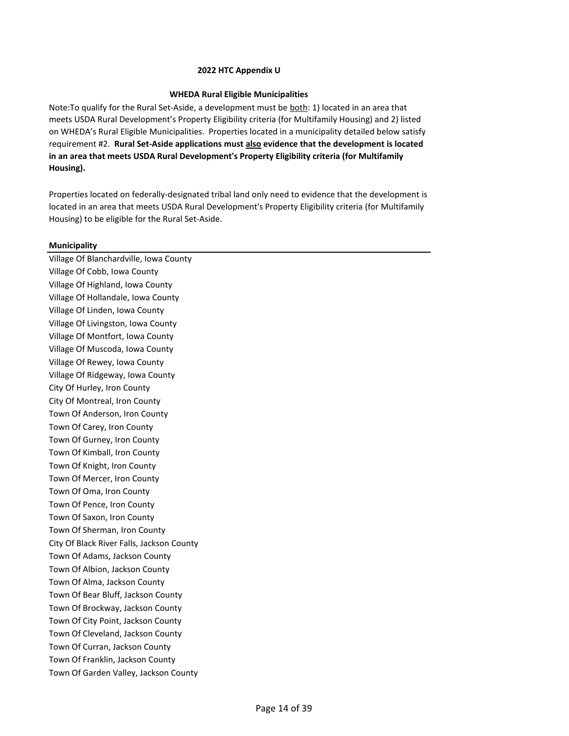## **WHEDA Rural Eligible Municipalities**

Note:To qualify for the Rural Set‐Aside, a development must be both: 1) located in an area that meets USDA Rural Development's Property Eligibility criteria (for Multifamily Housing) and 2) listed on WHEDA's Rural Eligible Municipalities. Properties located in a municipality detailed below satisfy requirement #2. **Rural Set-Aside applications must also evidence that the development is located in an area that meets USDA Rural Development's Property Eligibility criteria (for Multifamily Housing).**

Properties located on federally-designated tribal land only need to evidence that the development is located in an area that meets USDA Rural Development's Property Eligibility criteria (for Multifamily Housing) to be eligible for the Rural Set-Aside.

### **Municipality**

Village Of Blanchardville, Iowa County Village Of Cobb, Iowa County Village Of Highland, Iowa County Village Of Hollandale, Iowa County Village Of Linden, Iowa County Village Of Livingston, Iowa County Village Of Montfort, Iowa County Village Of Muscoda, Iowa County Village Of Rewey, Iowa County Village Of Ridgeway, Iowa County City Of Hurley, Iron County City Of Montreal, Iron County Town Of Anderson, Iron County Town Of Carey, Iron County Town Of Gurney, Iron County Town Of Kimball, Iron County Town Of Knight, Iron County Town Of Mercer, Iron County Town Of Oma, Iron County Town Of Pence, Iron County Town Of Saxon, Iron County Town Of Sherman, Iron County City Of Black River Falls, Jackson County Town Of Adams, Jackson County Town Of Albion, Jackson County Town Of Alma, Jackson County Town Of Bear Bluff, Jackson County Town Of Brockway, Jackson County Town Of City Point, Jackson County Town Of Cleveland, Jackson County Town Of Curran, Jackson County Town Of Franklin, Jackson County Town Of Garden Valley, Jackson County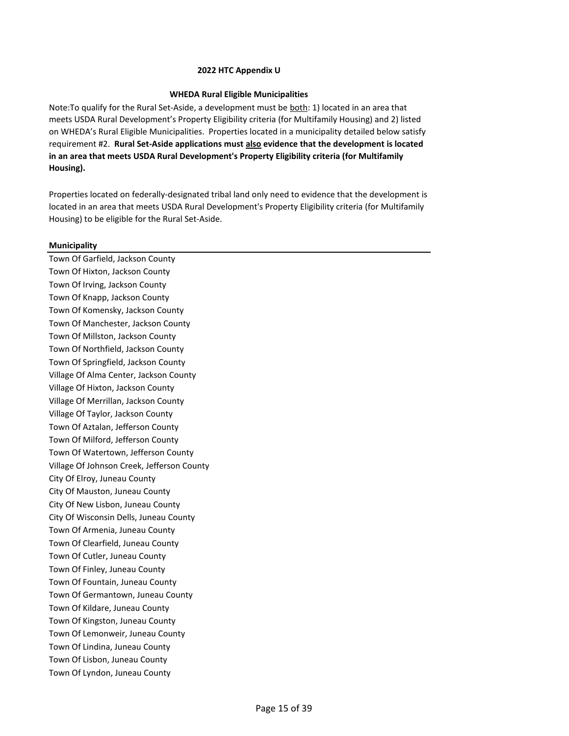## **WHEDA Rural Eligible Municipalities**

Note:To qualify for the Rural Set‐Aside, a development must be both: 1) located in an area that meets USDA Rural Development's Property Eligibility criteria (for Multifamily Housing) and 2) listed on WHEDA's Rural Eligible Municipalities. Properties located in a municipality detailed below satisfy requirement #2. **Rural Set-Aside applications must also evidence that the development is located in an area that meets USDA Rural Development's Property Eligibility criteria (for Multifamily Housing).**

Properties located on federally-designated tribal land only need to evidence that the development is located in an area that meets USDA Rural Development's Property Eligibility criteria (for Multifamily Housing) to be eligible for the Rural Set-Aside.

# **Municipality**

Town Of Garfield, Jackson County Town Of Hixton, Jackson County Town Of Irving, Jackson County Town Of Knapp, Jackson County Town Of Komensky, Jackson County Town Of Manchester, Jackson County Town Of Millston, Jackson County Town Of Northfield, Jackson County Town Of Springfield, Jackson County Village Of Alma Center, Jackson County Village Of Hixton, Jackson County Village Of Merrillan, Jackson County Village Of Taylor, Jackson County Town Of Aztalan, Jefferson County Town Of Milford, Jefferson County Town Of Watertown, Jefferson County Village Of Johnson Creek, Jefferson County City Of Elroy, Juneau County City Of Mauston, Juneau County City Of New Lisbon, Juneau County City Of Wisconsin Dells, Juneau County Town Of Armenia, Juneau County Town Of Clearfield, Juneau County Town Of Cutler, Juneau County Town Of Finley, Juneau County Town Of Fountain, Juneau County Town Of Germantown, Juneau County Town Of Kildare, Juneau County Town Of Kingston, Juneau County Town Of Lemonweir, Juneau County Town Of Lindina, Juneau County Town Of Lisbon, Juneau County Town Of Lyndon, Juneau County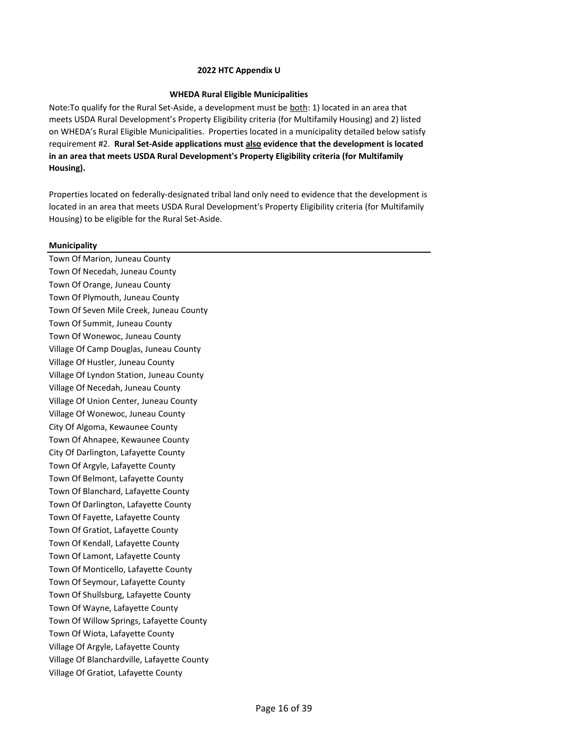## **WHEDA Rural Eligible Municipalities**

Note:To qualify for the Rural Set‐Aside, a development must be both: 1) located in an area that meets USDA Rural Development's Property Eligibility criteria (for Multifamily Housing) and 2) listed on WHEDA's Rural Eligible Municipalities. Properties located in a municipality detailed below satisfy requirement #2. **Rural Set-Aside applications must also evidence that the development is located in an area that meets USDA Rural Development's Property Eligibility criteria (for Multifamily Housing).**

Properties located on federally-designated tribal land only need to evidence that the development is located in an area that meets USDA Rural Development's Property Eligibility criteria (for Multifamily Housing) to be eligible for the Rural Set-Aside.

# **Municipality**

Town Of Marion, Juneau County Town Of Necedah, Juneau County Town Of Orange, Juneau County Town Of Plymouth, Juneau County Town Of Seven Mile Creek, Juneau County Town Of Summit, Juneau County Town Of Wonewoc, Juneau County Village Of Camp Douglas, Juneau County Village Of Hustler, Juneau County Village Of Lyndon Station, Juneau County Village Of Necedah, Juneau County Village Of Union Center, Juneau County Village Of Wonewoc, Juneau County City Of Algoma, Kewaunee County Town Of Ahnapee, Kewaunee County City Of Darlington, Lafayette County Town Of Argyle, Lafayette County Town Of Belmont, Lafayette County Town Of Blanchard, Lafayette County Town Of Darlington, Lafayette County Town Of Fayette, Lafayette County Town Of Gratiot, Lafayette County Town Of Kendall, Lafayette County Town Of Lamont, Lafayette County Town Of Monticello, Lafayette County Town Of Seymour, Lafayette County Town Of Shullsburg, Lafayette County Town Of Wayne, Lafayette County Town Of Willow Springs, Lafayette County Town Of Wiota, Lafayette County Village Of Argyle, Lafayette County Village Of Blanchardville, Lafayette County Village Of Gratiot, Lafayette County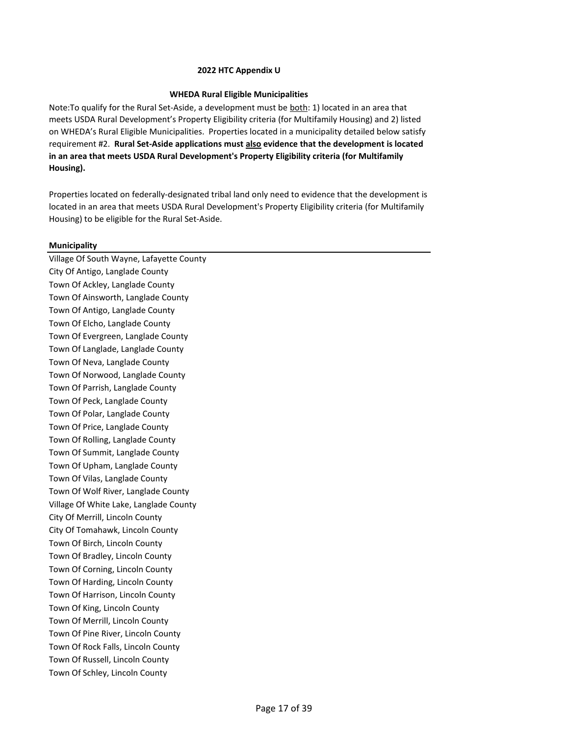## **WHEDA Rural Eligible Municipalities**

Note:To qualify for the Rural Set‐Aside, a development must be both: 1) located in an area that meets USDA Rural Development's Property Eligibility criteria (for Multifamily Housing) and 2) listed on WHEDA's Rural Eligible Municipalities. Properties located in a municipality detailed below satisfy requirement #2. **Rural Set-Aside applications must also evidence that the development is located in an area that meets USDA Rural Development's Property Eligibility criteria (for Multifamily Housing).**

Properties located on federally-designated tribal land only need to evidence that the development is located in an area that meets USDA Rural Development's Property Eligibility criteria (for Multifamily Housing) to be eligible for the Rural Set-Aside.

# **Municipality**

Village Of South Wayne, Lafayette County City Of Antigo, Langlade County Town Of Ackley, Langlade County Town Of Ainsworth, Langlade County Town Of Antigo, Langlade County Town Of Elcho, Langlade County Town Of Evergreen, Langlade County Town Of Langlade, Langlade County Town Of Neva, Langlade County Town Of Norwood, Langlade County Town Of Parrish, Langlade County Town Of Peck, Langlade County Town Of Polar, Langlade County Town Of Price, Langlade County Town Of Rolling, Langlade County Town Of Summit, Langlade County Town Of Upham, Langlade County Town Of Vilas, Langlade County Town Of Wolf River, Langlade County Village Of White Lake, Langlade County City Of Merrill, Lincoln County City Of Tomahawk, Lincoln County Town Of Birch, Lincoln County Town Of Bradley, Lincoln County Town Of Corning, Lincoln County Town Of Harding, Lincoln County Town Of Harrison, Lincoln County Town Of King, Lincoln County Town Of Merrill, Lincoln County Town Of Pine River, Lincoln County Town Of Rock Falls, Lincoln County Town Of Russell, Lincoln County Town Of Schley, Lincoln County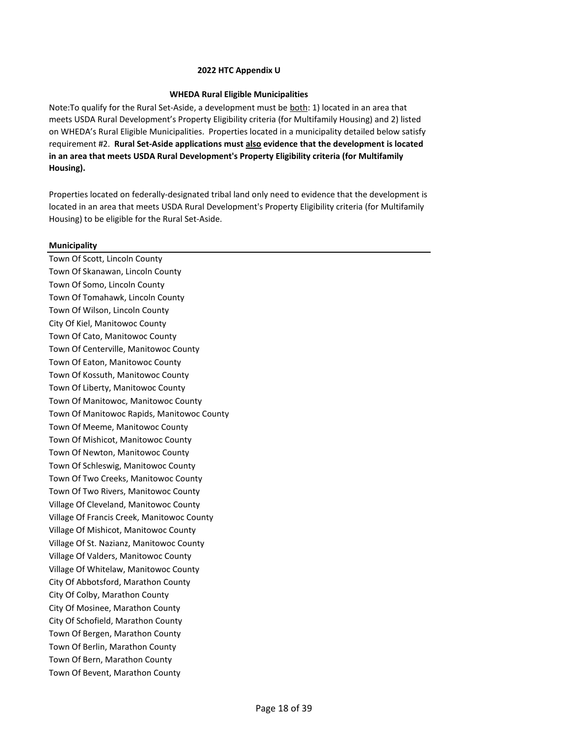## **WHEDA Rural Eligible Municipalities**

Note:To qualify for the Rural Set‐Aside, a development must be both: 1) located in an area that meets USDA Rural Development's Property Eligibility criteria (for Multifamily Housing) and 2) listed on WHEDA's Rural Eligible Municipalities. Properties located in a municipality detailed below satisfy requirement #2. **Rural Set-Aside applications must also evidence that the development is located in an area that meets USDA Rural Development's Property Eligibility criteria (for Multifamily Housing).**

Properties located on federally-designated tribal land only need to evidence that the development is located in an area that meets USDA Rural Development's Property Eligibility criteria (for Multifamily Housing) to be eligible for the Rural Set-Aside.

# **Municipality**

Town Of Scott, Lincoln County Town Of Skanawan, Lincoln County Town Of Somo, Lincoln County Town Of Tomahawk, Lincoln County Town Of Wilson, Lincoln County City Of Kiel, Manitowoc County Town Of Cato, Manitowoc County Town Of Centerville, Manitowoc County Town Of Eaton, Manitowoc County Town Of Kossuth, Manitowoc County Town Of Liberty, Manitowoc County Town Of Manitowoc, Manitowoc County Town Of Manitowoc Rapids, Manitowoc County Town Of Meeme, Manitowoc County Town Of Mishicot, Manitowoc County Town Of Newton, Manitowoc County Town Of Schleswig, Manitowoc County Town Of Two Creeks, Manitowoc County Town Of Two Rivers, Manitowoc County Village Of Cleveland, Manitowoc County Village Of Francis Creek, Manitowoc County Village Of Mishicot, Manitowoc County Village Of St. Nazianz, Manitowoc County Village Of Valders, Manitowoc County Village Of Whitelaw, Manitowoc County City Of Abbotsford, Marathon County City Of Colby, Marathon County City Of Mosinee, Marathon County City Of Schofield, Marathon County Town Of Bergen, Marathon County Town Of Berlin, Marathon County Town Of Bern, Marathon County Town Of Bevent, Marathon County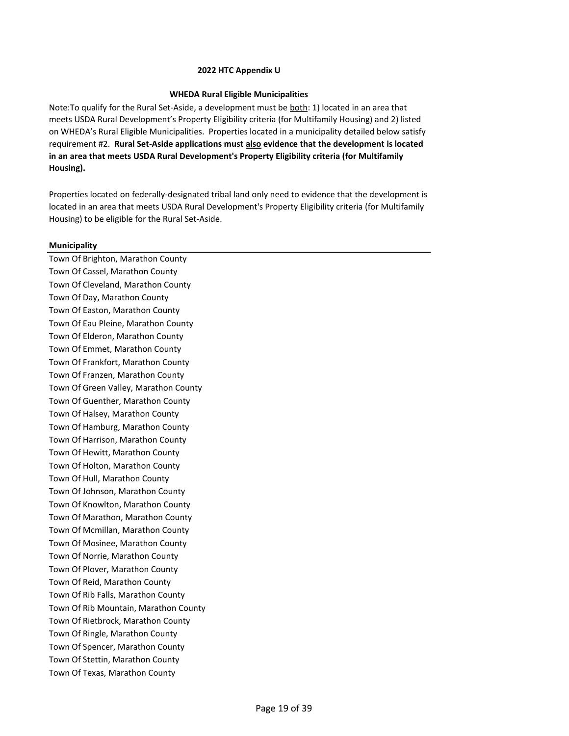## **WHEDA Rural Eligible Municipalities**

Note:To qualify for the Rural Set‐Aside, a development must be both: 1) located in an area that meets USDA Rural Development's Property Eligibility criteria (for Multifamily Housing) and 2) listed on WHEDA's Rural Eligible Municipalities. Properties located in a municipality detailed below satisfy requirement #2. **Rural Set-Aside applications must also evidence that the development is located in an area that meets USDA Rural Development's Property Eligibility criteria (for Multifamily Housing).**

Properties located on federally-designated tribal land only need to evidence that the development is located in an area that meets USDA Rural Development's Property Eligibility criteria (for Multifamily Housing) to be eligible for the Rural Set-Aside.

# **Municipality**

Town Of Brighton, Marathon County Town Of Cassel, Marathon County Town Of Cleveland, Marathon County Town Of Day, Marathon County Town Of Easton, Marathon County Town Of Eau Pleine, Marathon County Town Of Elderon, Marathon County Town Of Emmet, Marathon County Town Of Frankfort, Marathon County Town Of Franzen, Marathon County Town Of Green Valley, Marathon County Town Of Guenther, Marathon County Town Of Halsey, Marathon County Town Of Hamburg, Marathon County Town Of Harrison, Marathon County Town Of Hewitt, Marathon County Town Of Holton, Marathon County Town Of Hull, Marathon County Town Of Johnson, Marathon County Town Of Knowlton, Marathon County Town Of Marathon, Marathon County Town Of Mcmillan, Marathon County Town Of Mosinee, Marathon County Town Of Norrie, Marathon County Town Of Plover, Marathon County Town Of Reid, Marathon County Town Of Rib Falls, Marathon County Town Of Rib Mountain, Marathon County Town Of Rietbrock, Marathon County Town Of Ringle, Marathon County Town Of Spencer, Marathon County Town Of Stettin, Marathon County Town Of Texas, Marathon County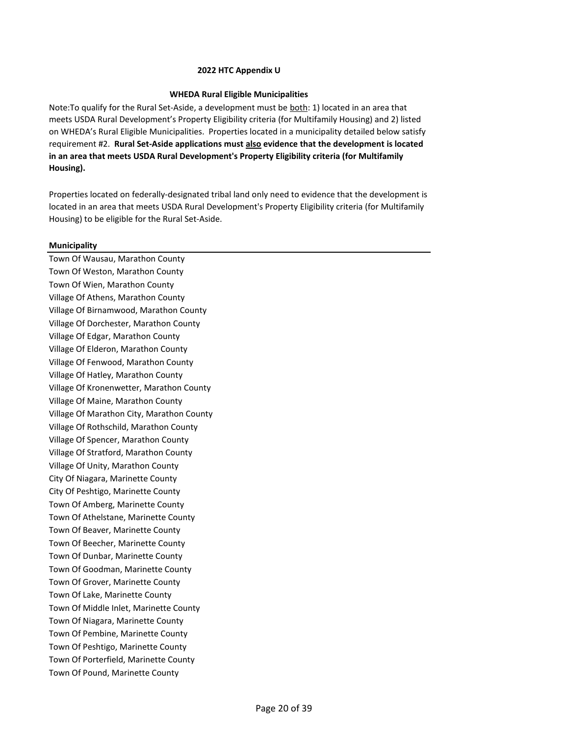## **WHEDA Rural Eligible Municipalities**

Note:To qualify for the Rural Set‐Aside, a development must be both: 1) located in an area that meets USDA Rural Development's Property Eligibility criteria (for Multifamily Housing) and 2) listed on WHEDA's Rural Eligible Municipalities. Properties located in a municipality detailed below satisfy requirement #2. **Rural Set-Aside applications must also evidence that the development is located in an area that meets USDA Rural Development's Property Eligibility criteria (for Multifamily Housing).**

Properties located on federally-designated tribal land only need to evidence that the development is located in an area that meets USDA Rural Development's Property Eligibility criteria (for Multifamily Housing) to be eligible for the Rural Set-Aside.

# **Municipality**

Town Of Wausau, Marathon County Town Of Weston, Marathon County Town Of Wien, Marathon County Village Of Athens, Marathon County Village Of Birnamwood, Marathon County Village Of Dorchester, Marathon County Village Of Edgar, Marathon County Village Of Elderon, Marathon County Village Of Fenwood, Marathon County Village Of Hatley, Marathon County Village Of Kronenwetter, Marathon County Village Of Maine, Marathon County Village Of Marathon City, Marathon County Village Of Rothschild, Marathon County Village Of Spencer, Marathon County Village Of Stratford, Marathon County Village Of Unity, Marathon County City Of Niagara, Marinette County City Of Peshtigo, Marinette County Town Of Amberg, Marinette County Town Of Athelstane, Marinette County Town Of Beaver, Marinette County Town Of Beecher, Marinette County Town Of Dunbar, Marinette County Town Of Goodman, Marinette County Town Of Grover, Marinette County Town Of Lake, Marinette County Town Of Middle Inlet, Marinette County Town Of Niagara, Marinette County Town Of Pembine, Marinette County Town Of Peshtigo, Marinette County Town Of Porterfield, Marinette County Town Of Pound, Marinette County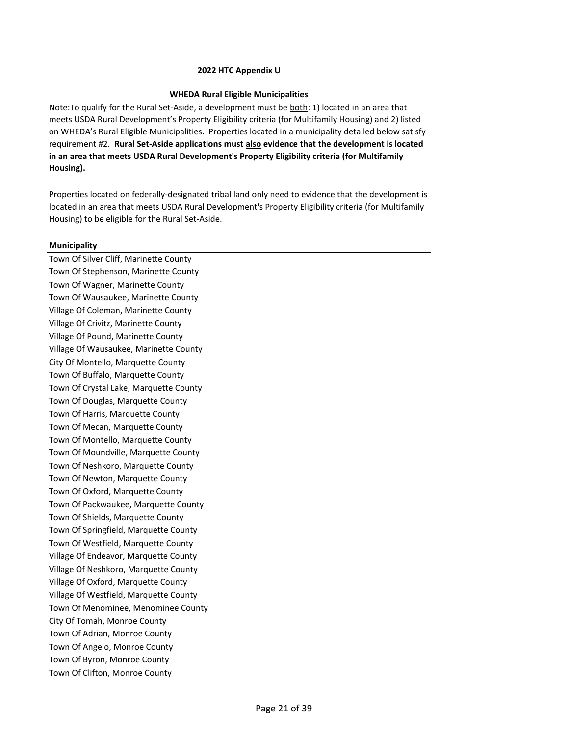## **WHEDA Rural Eligible Municipalities**

Note:To qualify for the Rural Set‐Aside, a development must be both: 1) located in an area that meets USDA Rural Development's Property Eligibility criteria (for Multifamily Housing) and 2) listed on WHEDA's Rural Eligible Municipalities. Properties located in a municipality detailed below satisfy requirement #2. **Rural Set-Aside applications must also evidence that the development is located in an area that meets USDA Rural Development's Property Eligibility criteria (for Multifamily Housing).**

Properties located on federally-designated tribal land only need to evidence that the development is located in an area that meets USDA Rural Development's Property Eligibility criteria (for Multifamily Housing) to be eligible for the Rural Set-Aside.

# **Municipality**

Town Of Silver Cliff, Marinette County Town Of Stephenson, Marinette County Town Of Wagner, Marinette County Town Of Wausaukee, Marinette County Village Of Coleman, Marinette County Village Of Crivitz, Marinette County Village Of Pound, Marinette County Village Of Wausaukee, Marinette County City Of Montello, Marquette County Town Of Buffalo, Marquette County Town Of Crystal Lake, Marquette County Town Of Douglas, Marquette County Town Of Harris, Marquette County Town Of Mecan, Marquette County Town Of Montello, Marquette County Town Of Moundville, Marquette County Town Of Neshkoro, Marquette County Town Of Newton, Marquette County Town Of Oxford, Marquette County Town Of Packwaukee, Marquette County Town Of Shields, Marquette County Town Of Springfield, Marquette County Town Of Westfield, Marquette County Village Of Endeavor, Marquette County Village Of Neshkoro, Marquette County Village Of Oxford, Marquette County Village Of Westfield, Marquette County Town Of Menominee, Menominee County City Of Tomah, Monroe County Town Of Adrian, Monroe County Town Of Angelo, Monroe County Town Of Byron, Monroe County Town Of Clifton, Monroe County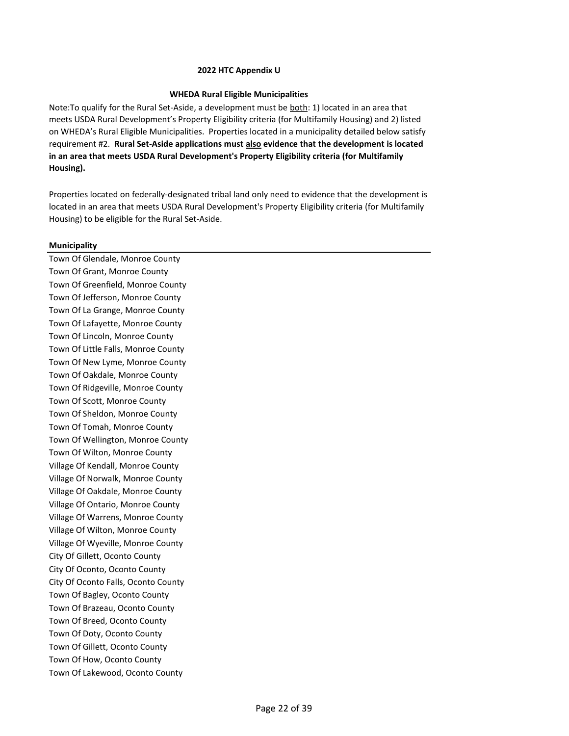### **WHEDA Rural Eligible Municipalities**

Note:To qualify for the Rural Set‐Aside, a development must be both: 1) located in an area that meets USDA Rural Development's Property Eligibility criteria (for Multifamily Housing) and 2) listed on WHEDA's Rural Eligible Municipalities. Properties located in a municipality detailed below satisfy requirement #2. **Rural Set-Aside applications must also evidence that the development is located in an area that meets USDA Rural Development's Property Eligibility criteria (for Multifamily Housing).**

Properties located on federally-designated tribal land only need to evidence that the development is located in an area that meets USDA Rural Development's Property Eligibility criteria (for Multifamily Housing) to be eligible for the Rural Set-Aside.

# **Municipality**

Town Of Glendale, Monroe County Town Of Grant, Monroe County Town Of Greenfield, Monroe County Town Of Jefferson, Monroe County Town Of La Grange, Monroe County Town Of Lafayette, Monroe County Town Of Lincoln, Monroe County Town Of Little Falls, Monroe County Town Of New Lyme, Monroe County Town Of Oakdale, Monroe County Town Of Ridgeville, Monroe County Town Of Scott, Monroe County Town Of Sheldon, Monroe County Town Of Tomah, Monroe County Town Of Wellington, Monroe County Town Of Wilton, Monroe County Village Of Kendall, Monroe County Village Of Norwalk, Monroe County Village Of Oakdale, Monroe County Village Of Ontario, Monroe County Village Of Warrens, Monroe County Village Of Wilton, Monroe County Village Of Wyeville, Monroe County City Of Gillett, Oconto County City Of Oconto, Oconto County City Of Oconto Falls, Oconto County Town Of Bagley, Oconto County Town Of Brazeau, Oconto County Town Of Breed, Oconto County Town Of Doty, Oconto County Town Of Gillett, Oconto County Town Of How, Oconto County Town Of Lakewood, Oconto County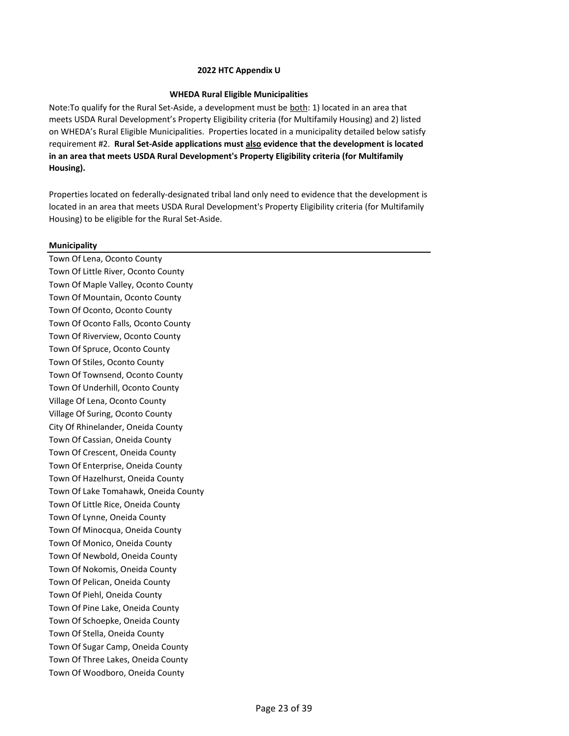## **WHEDA Rural Eligible Municipalities**

Note:To qualify for the Rural Set‐Aside, a development must be both: 1) located in an area that meets USDA Rural Development's Property Eligibility criteria (for Multifamily Housing) and 2) listed on WHEDA's Rural Eligible Municipalities. Properties located in a municipality detailed below satisfy requirement #2. **Rural Set-Aside applications must also evidence that the development is located in an area that meets USDA Rural Development's Property Eligibility criteria (for Multifamily Housing).**

Properties located on federally-designated tribal land only need to evidence that the development is located in an area that meets USDA Rural Development's Property Eligibility criteria (for Multifamily Housing) to be eligible for the Rural Set-Aside.

# **Municipality**

Town Of Lena, Oconto County Town Of Little River, Oconto County Town Of Maple Valley, Oconto County Town Of Mountain, Oconto County Town Of Oconto, Oconto County Town Of Oconto Falls, Oconto County Town Of Riverview, Oconto County Town Of Spruce, Oconto County Town Of Stiles, Oconto County Town Of Townsend, Oconto County Town Of Underhill, Oconto County Village Of Lena, Oconto County Village Of Suring, Oconto County City Of Rhinelander, Oneida County Town Of Cassian, Oneida County Town Of Crescent, Oneida County Town Of Enterprise, Oneida County Town Of Hazelhurst, Oneida County Town Of Lake Tomahawk, Oneida County Town Of Little Rice, Oneida County Town Of Lynne, Oneida County Town Of Minocqua, Oneida County Town Of Monico, Oneida County Town Of Newbold, Oneida County Town Of Nokomis, Oneida County Town Of Pelican, Oneida County Town Of Piehl, Oneida County Town Of Pine Lake, Oneida County Town Of Schoepke, Oneida County Town Of Stella, Oneida County Town Of Sugar Camp, Oneida County Town Of Three Lakes, Oneida County Town Of Woodboro, Oneida County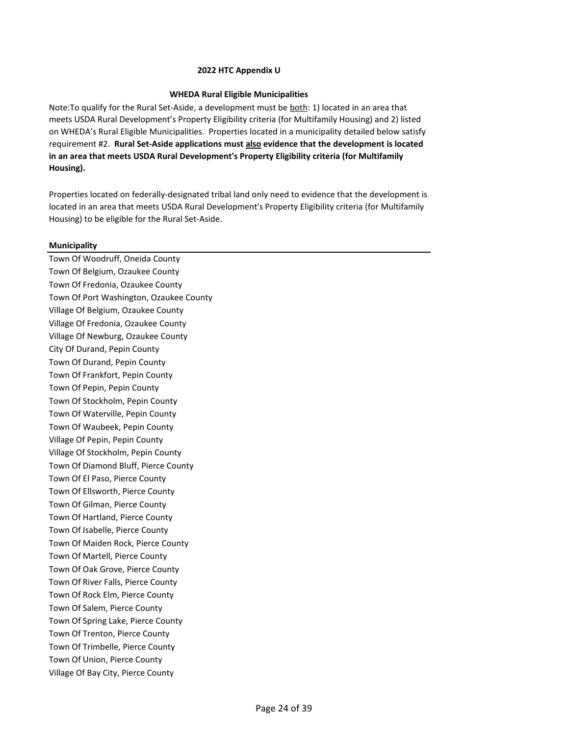## **WHEDA Rural Eligible Municipalities**

Note:To qualify for the Rural Set‐Aside, a development must be both: 1) located in an area that meets USDA Rural Development's Property Eligibility criteria (for Multifamily Housing) and 2) listed on WHEDA's Rural Eligible Municipalities. Properties located in a municipality detailed below satisfy requirement #2. **Rural Set-Aside applications must also evidence that the development is located in an area that meets USDA Rural Development's Property Eligibility criteria (for Multifamily Housing).**

Properties located on federally-designated tribal land only need to evidence that the development is located in an area that meets USDA Rural Development's Property Eligibility criteria (for Multifamily Housing) to be eligible for the Rural Set-Aside.

# **Municipality**

Town Of Woodruff, Oneida County Town Of Belgium, Ozaukee County Town Of Fredonia, Ozaukee County Town Of Port Washington, Ozaukee County Village Of Belgium, Ozaukee County Village Of Fredonia, Ozaukee County Village Of Newburg, Ozaukee County City Of Durand, Pepin County Town Of Durand, Pepin County Town Of Frankfort, Pepin County Town Of Pepin, Pepin County Town Of Stockholm, Pepin County Town Of Waterville, Pepin County Town Of Waubeek, Pepin County Village Of Pepin, Pepin County Village Of Stockholm, Pepin County Town Of Diamond Bluff, Pierce County Town Of El Paso, Pierce County Town Of Ellsworth, Pierce County Town Of Gilman, Pierce County Town Of Hartland, Pierce County Town Of Isabelle, Pierce County Town Of Maiden Rock, Pierce County Town Of Martell, Pierce County Town Of Oak Grove, Pierce County Town Of River Falls, Pierce County Town Of Rock Elm, Pierce County Town Of Salem, Pierce County Town Of Spring Lake, Pierce County Town Of Trenton, Pierce County Town Of Trimbelle, Pierce County Town Of Union, Pierce County Village Of Bay City, Pierce County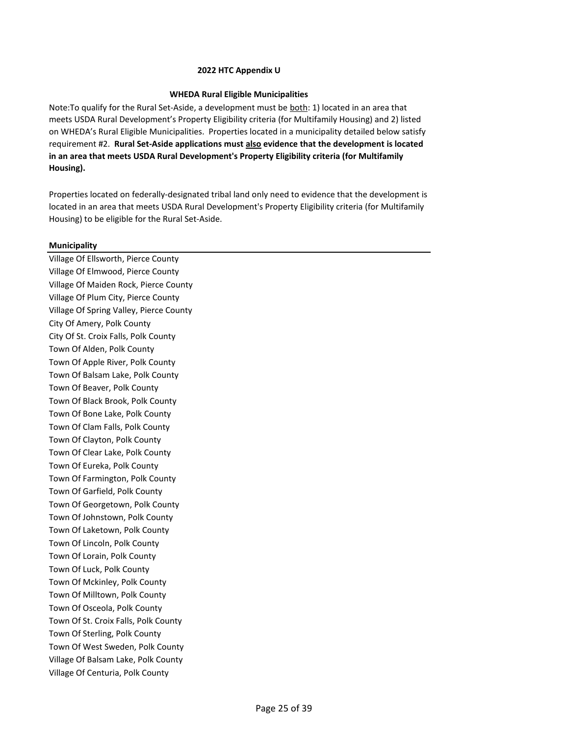## **WHEDA Rural Eligible Municipalities**

Note:To qualify for the Rural Set‐Aside, a development must be both: 1) located in an area that meets USDA Rural Development's Property Eligibility criteria (for Multifamily Housing) and 2) listed on WHEDA's Rural Eligible Municipalities. Properties located in a municipality detailed below satisfy requirement #2. **Rural Set-Aside applications must also evidence that the development is located in an area that meets USDA Rural Development's Property Eligibility criteria (for Multifamily Housing).**

Properties located on federally-designated tribal land only need to evidence that the development is located in an area that meets USDA Rural Development's Property Eligibility criteria (for Multifamily Housing) to be eligible for the Rural Set-Aside.

# **Municipality**

Village Of Ellsworth, Pierce County Village Of Elmwood, Pierce County Village Of Maiden Rock, Pierce County Village Of Plum City, Pierce County Village Of Spring Valley, Pierce County City Of Amery, Polk County City Of St. Croix Falls, Polk County Town Of Alden, Polk County Town Of Apple River, Polk County Town Of Balsam Lake, Polk County Town Of Beaver, Polk County Town Of Black Brook, Polk County Town Of Bone Lake, Polk County Town Of Clam Falls, Polk County Town Of Clayton, Polk County Town Of Clear Lake, Polk County Town Of Eureka, Polk County Town Of Farmington, Polk County Town Of Garfield, Polk County Town Of Georgetown, Polk County Town Of Johnstown, Polk County Town Of Laketown, Polk County Town Of Lincoln, Polk County Town Of Lorain, Polk County Town Of Luck, Polk County Town Of Mckinley, Polk County Town Of Milltown, Polk County Town Of Osceola, Polk County Town Of St. Croix Falls, Polk County Town Of Sterling, Polk County Town Of West Sweden, Polk County Village Of Balsam Lake, Polk County Village Of Centuria, Polk County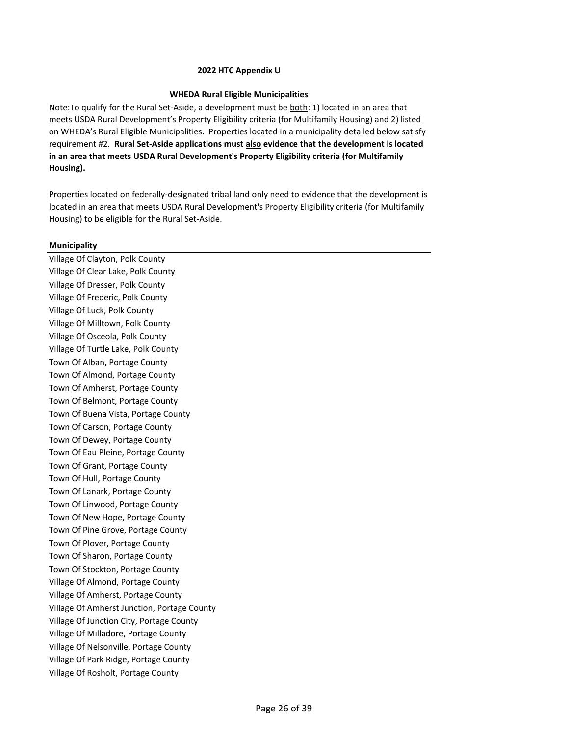## **WHEDA Rural Eligible Municipalities**

Note:To qualify for the Rural Set‐Aside, a development must be both: 1) located in an area that meets USDA Rural Development's Property Eligibility criteria (for Multifamily Housing) and 2) listed on WHEDA's Rural Eligible Municipalities. Properties located in a municipality detailed below satisfy requirement #2. **Rural Set-Aside applications must also evidence that the development is located in an area that meets USDA Rural Development's Property Eligibility criteria (for Multifamily Housing).**

Properties located on federally-designated tribal land only need to evidence that the development is located in an area that meets USDA Rural Development's Property Eligibility criteria (for Multifamily Housing) to be eligible for the Rural Set-Aside.

# **Municipality**

Village Of Clayton, Polk County Village Of Clear Lake, Polk County Village Of Dresser, Polk County Village Of Frederic, Polk County Village Of Luck, Polk County Village Of Milltown, Polk County Village Of Osceola, Polk County Village Of Turtle Lake, Polk County Town Of Alban, Portage County Town Of Almond, Portage County Town Of Amherst, Portage County Town Of Belmont, Portage County Town Of Buena Vista, Portage County Town Of Carson, Portage County Town Of Dewey, Portage County Town Of Eau Pleine, Portage County Town Of Grant, Portage County Town Of Hull, Portage County Town Of Lanark, Portage County Town Of Linwood, Portage County Town Of New Hope, Portage County Town Of Pine Grove, Portage County Town Of Plover, Portage County Town Of Sharon, Portage County Town Of Stockton, Portage County Village Of Almond, Portage County Village Of Amherst, Portage County Village Of Amherst Junction, Portage County Village Of Junction City, Portage County Village Of Milladore, Portage County Village Of Nelsonville, Portage County Village Of Park Ridge, Portage County Village Of Rosholt, Portage County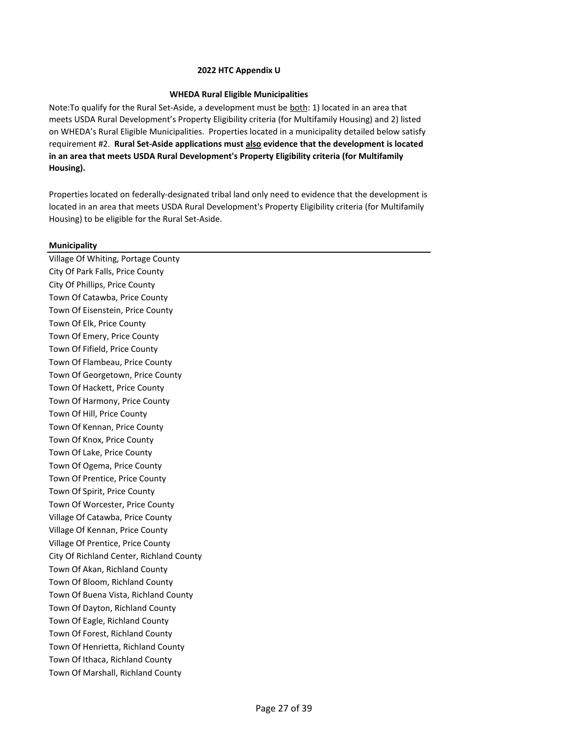## **WHEDA Rural Eligible Municipalities**

Note:To qualify for the Rural Set‐Aside, a development must be both: 1) located in an area that meets USDA Rural Development's Property Eligibility criteria (for Multifamily Housing) and 2) listed on WHEDA's Rural Eligible Municipalities. Properties located in a municipality detailed below satisfy requirement #2. **Rural Set-Aside applications must also evidence that the development is located in an area that meets USDA Rural Development's Property Eligibility criteria (for Multifamily Housing).**

Properties located on federally-designated tribal land only need to evidence that the development is located in an area that meets USDA Rural Development's Property Eligibility criteria (for Multifamily Housing) to be eligible for the Rural Set-Aside.

# **Municipality**

Village Of Whiting, Portage County City Of Park Falls, Price County City Of Phillips, Price County Town Of Catawba, Price County Town Of Eisenstein, Price County Town Of Elk, Price County Town Of Emery, Price County Town Of Fifield, Price County Town Of Flambeau, Price County Town Of Georgetown, Price County Town Of Hackett, Price County Town Of Harmony, Price County Town Of Hill, Price County Town Of Kennan, Price County Town Of Knox, Price County Town Of Lake, Price County Town Of Ogema, Price County Town Of Prentice, Price County Town Of Spirit, Price County Town Of Worcester, Price County Village Of Catawba, Price County Village Of Kennan, Price County Village Of Prentice, Price County City Of Richland Center, Richland County Town Of Akan, Richland County Town Of Bloom, Richland County Town Of Buena Vista, Richland County Town Of Dayton, Richland County Town Of Eagle, Richland County Town Of Forest, Richland County Town Of Henrietta, Richland County Town Of Ithaca, Richland County Town Of Marshall, Richland County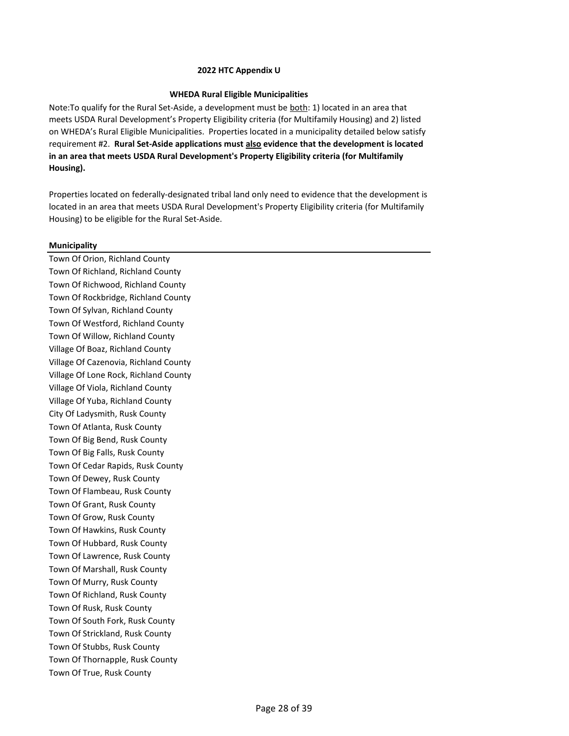## **WHEDA Rural Eligible Municipalities**

Note:To qualify for the Rural Set‐Aside, a development must be both: 1) located in an area that meets USDA Rural Development's Property Eligibility criteria (for Multifamily Housing) and 2) listed on WHEDA's Rural Eligible Municipalities. Properties located in a municipality detailed below satisfy requirement #2. **Rural Set-Aside applications must also evidence that the development is located in an area that meets USDA Rural Development's Property Eligibility criteria (for Multifamily Housing).**

Properties located on federally-designated tribal land only need to evidence that the development is located in an area that meets USDA Rural Development's Property Eligibility criteria (for Multifamily Housing) to be eligible for the Rural Set-Aside.

# **Municipality**

Town Of Orion, Richland County Town Of Richland, Richland County Town Of Richwood, Richland County Town Of Rockbridge, Richland County Town Of Sylvan, Richland County Town Of Westford, Richland County Town Of Willow, Richland County Village Of Boaz, Richland County Village Of Cazenovia, Richland County Village Of Lone Rock, Richland County Village Of Viola, Richland County Village Of Yuba, Richland County City Of Ladysmith, Rusk County Town Of Atlanta, Rusk County Town Of Big Bend, Rusk County Town Of Big Falls, Rusk County Town Of Cedar Rapids, Rusk County Town Of Dewey, Rusk County Town Of Flambeau, Rusk County Town Of Grant, Rusk County Town Of Grow, Rusk County Town Of Hawkins, Rusk County Town Of Hubbard, Rusk County Town Of Lawrence, Rusk County Town Of Marshall, Rusk County Town Of Murry, Rusk County Town Of Richland, Rusk County Town Of Rusk, Rusk County Town Of South Fork, Rusk County Town Of Strickland, Rusk County Town Of Stubbs, Rusk County Town Of Thornapple, Rusk County Town Of True, Rusk County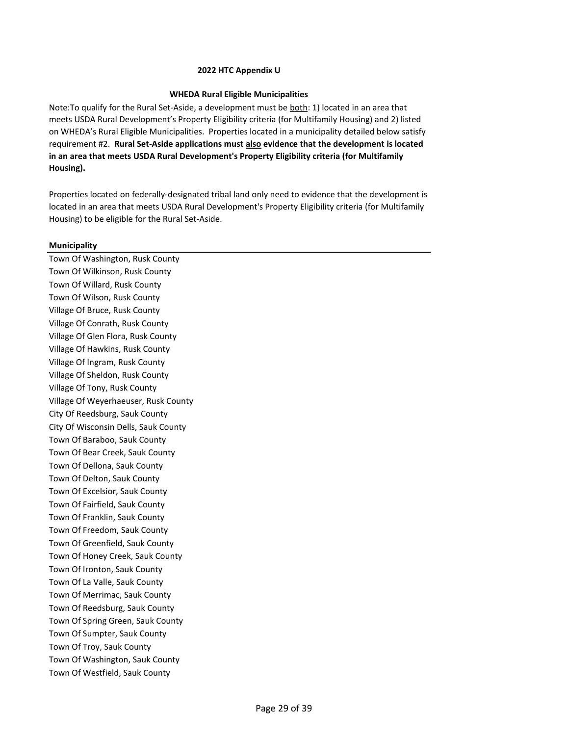## **WHEDA Rural Eligible Municipalities**

Note:To qualify for the Rural Set‐Aside, a development must be both: 1) located in an area that meets USDA Rural Development's Property Eligibility criteria (for Multifamily Housing) and 2) listed on WHEDA's Rural Eligible Municipalities. Properties located in a municipality detailed below satisfy requirement #2. **Rural Set-Aside applications must also evidence that the development is located in an area that meets USDA Rural Development's Property Eligibility criteria (for Multifamily Housing).**

Properties located on federally-designated tribal land only need to evidence that the development is located in an area that meets USDA Rural Development's Property Eligibility criteria (for Multifamily Housing) to be eligible for the Rural Set-Aside.

# **Municipality**

Town Of Washington, Rusk County Town Of Wilkinson, Rusk County Town Of Willard, Rusk County Town Of Wilson, Rusk County Village Of Bruce, Rusk County Village Of Conrath, Rusk County Village Of Glen Flora, Rusk County Village Of Hawkins, Rusk County Village Of Ingram, Rusk County Village Of Sheldon, Rusk County Village Of Tony, Rusk County Village Of Weyerhaeuser, Rusk County City Of Reedsburg, Sauk County City Of Wisconsin Dells, Sauk County Town Of Baraboo, Sauk County Town Of Bear Creek, Sauk County Town Of Dellona, Sauk County Town Of Delton, Sauk County Town Of Excelsior, Sauk County Town Of Fairfield, Sauk County Town Of Franklin, Sauk County Town Of Freedom, Sauk County Town Of Greenfield, Sauk County Town Of Honey Creek, Sauk County Town Of Ironton, Sauk County Town Of La Valle, Sauk County Town Of Merrimac, Sauk County Town Of Reedsburg, Sauk County Town Of Spring Green, Sauk County Town Of Sumpter, Sauk County Town Of Troy, Sauk County Town Of Washington, Sauk County Town Of Westfield, Sauk County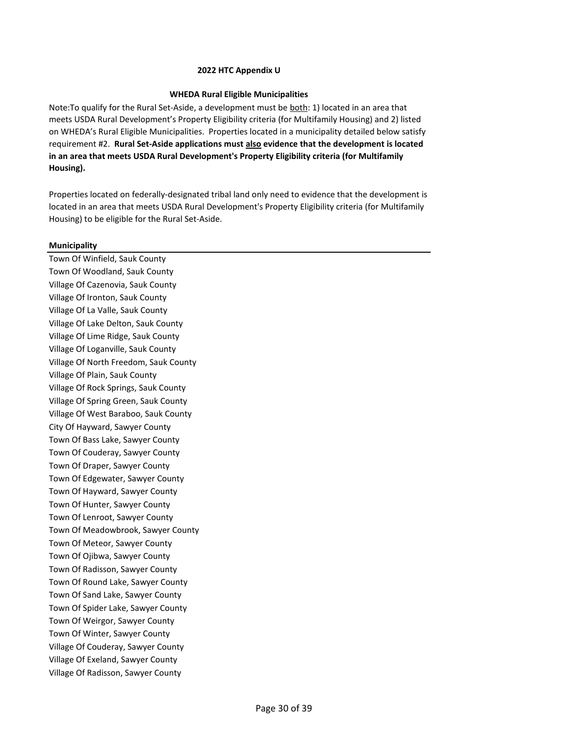## **WHEDA Rural Eligible Municipalities**

Note:To qualify for the Rural Set‐Aside, a development must be both: 1) located in an area that meets USDA Rural Development's Property Eligibility criteria (for Multifamily Housing) and 2) listed on WHEDA's Rural Eligible Municipalities. Properties located in a municipality detailed below satisfy requirement #2. **Rural Set-Aside applications must also evidence that the development is located in an area that meets USDA Rural Development's Property Eligibility criteria (for Multifamily Housing).**

Properties located on federally-designated tribal land only need to evidence that the development is located in an area that meets USDA Rural Development's Property Eligibility criteria (for Multifamily Housing) to be eligible for the Rural Set-Aside.

# **Municipality**

Town Of Winfield, Sauk County Town Of Woodland, Sauk County Village Of Cazenovia, Sauk County Village Of Ironton, Sauk County Village Of La Valle, Sauk County Village Of Lake Delton, Sauk County Village Of Lime Ridge, Sauk County Village Of Loganville, Sauk County Village Of North Freedom, Sauk County Village Of Plain, Sauk County Village Of Rock Springs, Sauk County Village Of Spring Green, Sauk County Village Of West Baraboo, Sauk County City Of Hayward, Sawyer County Town Of Bass Lake, Sawyer County Town Of Couderay, Sawyer County Town Of Draper, Sawyer County Town Of Edgewater, Sawyer County Town Of Hayward, Sawyer County Town Of Hunter, Sawyer County Town Of Lenroot, Sawyer County Town Of Meadowbrook, Sawyer County Town Of Meteor, Sawyer County Town Of Ojibwa, Sawyer County Town Of Radisson, Sawyer County Town Of Round Lake, Sawyer County Town Of Sand Lake, Sawyer County Town Of Spider Lake, Sawyer County Town Of Weirgor, Sawyer County Town Of Winter, Sawyer County Village Of Couderay, Sawyer County Village Of Exeland, Sawyer County Village Of Radisson, Sawyer County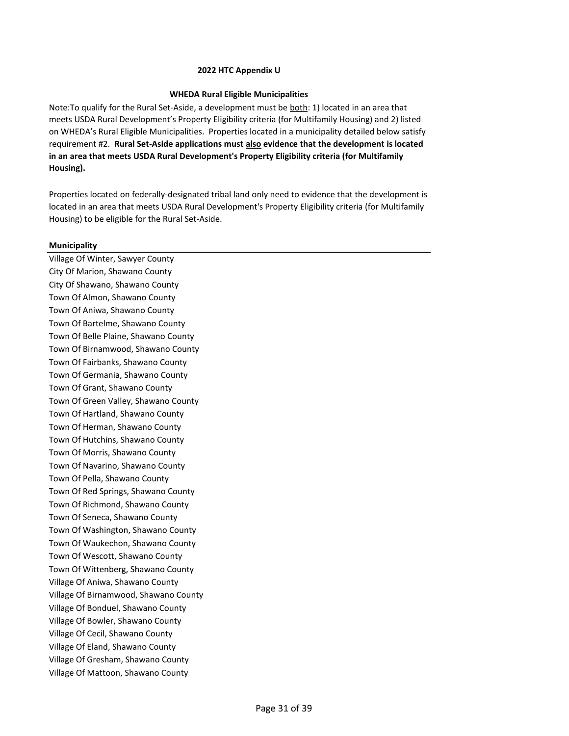## **WHEDA Rural Eligible Municipalities**

Note:To qualify for the Rural Set‐Aside, a development must be both: 1) located in an area that meets USDA Rural Development's Property Eligibility criteria (for Multifamily Housing) and 2) listed on WHEDA's Rural Eligible Municipalities. Properties located in a municipality detailed below satisfy requirement #2. **Rural Set-Aside applications must also evidence that the development is located in an area that meets USDA Rural Development's Property Eligibility criteria (for Multifamily Housing).**

Properties located on federally-designated tribal land only need to evidence that the development is located in an area that meets USDA Rural Development's Property Eligibility criteria (for Multifamily Housing) to be eligible for the Rural Set-Aside.

# **Municipality**

Village Of Winter, Sawyer County City Of Marion, Shawano County City Of Shawano, Shawano County Town Of Almon, Shawano County Town Of Aniwa, Shawano County Town Of Bartelme, Shawano County Town Of Belle Plaine, Shawano County Town Of Birnamwood, Shawano County Town Of Fairbanks, Shawano County Town Of Germania, Shawano County Town Of Grant, Shawano County Town Of Green Valley, Shawano County Town Of Hartland, Shawano County Town Of Herman, Shawano County Town Of Hutchins, Shawano County Town Of Morris, Shawano County Town Of Navarino, Shawano County Town Of Pella, Shawano County Town Of Red Springs, Shawano County Town Of Richmond, Shawano County Town Of Seneca, Shawano County Town Of Washington, Shawano County Town Of Waukechon, Shawano County Town Of Wescott, Shawano County Town Of Wittenberg, Shawano County Village Of Aniwa, Shawano County Village Of Birnamwood, Shawano County Village Of Bonduel, Shawano County Village Of Bowler, Shawano County Village Of Cecil, Shawano County Village Of Eland, Shawano County Village Of Gresham, Shawano County Village Of Mattoon, Shawano County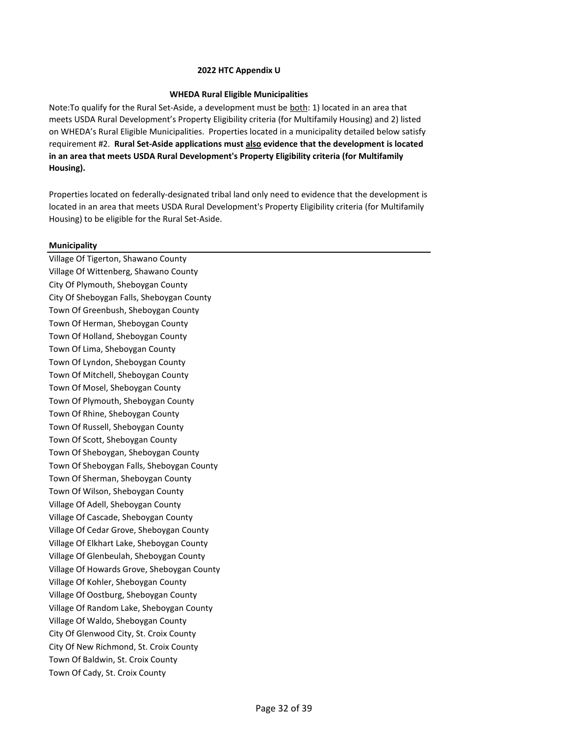## **WHEDA Rural Eligible Municipalities**

Note:To qualify for the Rural Set‐Aside, a development must be both: 1) located in an area that meets USDA Rural Development's Property Eligibility criteria (for Multifamily Housing) and 2) listed on WHEDA's Rural Eligible Municipalities. Properties located in a municipality detailed below satisfy requirement #2. **Rural Set-Aside applications must also evidence that the development is located in an area that meets USDA Rural Development's Property Eligibility criteria (for Multifamily Housing).**

Properties located on federally-designated tribal land only need to evidence that the development is located in an area that meets USDA Rural Development's Property Eligibility criteria (for Multifamily Housing) to be eligible for the Rural Set-Aside.

# **Municipality**

Village Of Tigerton, Shawano County Village Of Wittenberg, Shawano County City Of Plymouth, Sheboygan County City Of Sheboygan Falls, Sheboygan County Town Of Greenbush, Sheboygan County Town Of Herman, Sheboygan County Town Of Holland, Sheboygan County Town Of Lima, Sheboygan County Town Of Lyndon, Sheboygan County Town Of Mitchell, Sheboygan County Town Of Mosel, Sheboygan County Town Of Plymouth, Sheboygan County Town Of Rhine, Sheboygan County Town Of Russell, Sheboygan County Town Of Scott, Sheboygan County Town Of Sheboygan, Sheboygan County Town Of Sheboygan Falls, Sheboygan County Town Of Sherman, Sheboygan County Town Of Wilson, Sheboygan County Village Of Adell, Sheboygan County Village Of Cascade, Sheboygan County Village Of Cedar Grove, Sheboygan County Village Of Elkhart Lake, Sheboygan County Village Of Glenbeulah, Sheboygan County Village Of Howards Grove, Sheboygan County Village Of Kohler, Sheboygan County Village Of Oostburg, Sheboygan County Village Of Random Lake, Sheboygan County Village Of Waldo, Sheboygan County City Of Glenwood City, St. Croix County City Of New Richmond, St. Croix County Town Of Baldwin, St. Croix County Town Of Cady, St. Croix County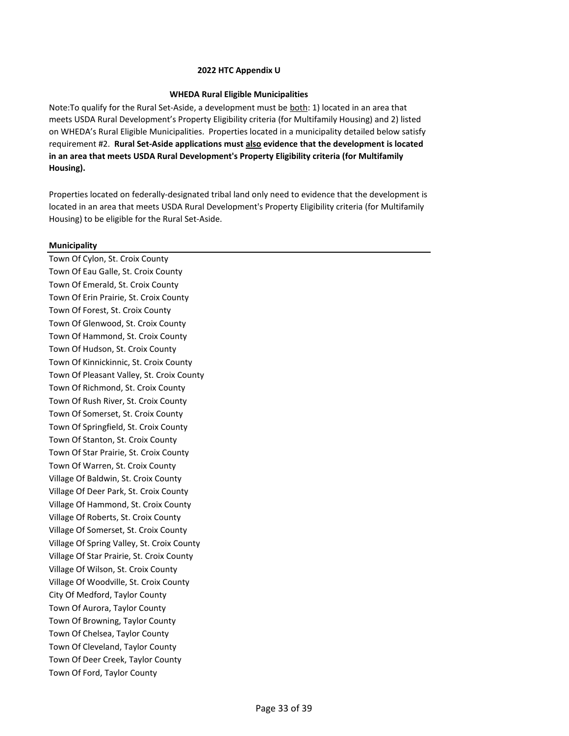## **WHEDA Rural Eligible Municipalities**

Note:To qualify for the Rural Set‐Aside, a development must be both: 1) located in an area that meets USDA Rural Development's Property Eligibility criteria (for Multifamily Housing) and 2) listed on WHEDA's Rural Eligible Municipalities. Properties located in a municipality detailed below satisfy requirement #2. **Rural Set-Aside applications must also evidence that the development is located in an area that meets USDA Rural Development's Property Eligibility criteria (for Multifamily Housing).**

Properties located on federally-designated tribal land only need to evidence that the development is located in an area that meets USDA Rural Development's Property Eligibility criteria (for Multifamily Housing) to be eligible for the Rural Set-Aside.

# **Municipality**

Town Of Cylon, St. Croix County Town Of Eau Galle, St. Croix County Town Of Emerald, St. Croix County Town Of Erin Prairie, St. Croix County Town Of Forest, St. Croix County Town Of Glenwood, St. Croix County Town Of Hammond, St. Croix County Town Of Hudson, St. Croix County Town Of Kinnickinnic, St. Croix County Town Of Pleasant Valley, St. Croix County Town Of Richmond, St. Croix County Town Of Rush River, St. Croix County Town Of Somerset, St. Croix County Town Of Springfield, St. Croix County Town Of Stanton, St. Croix County Town Of Star Prairie, St. Croix County Town Of Warren, St. Croix County Village Of Baldwin, St. Croix County Village Of Deer Park, St. Croix County Village Of Hammond, St. Croix County Village Of Roberts, St. Croix County Village Of Somerset, St. Croix County Village Of Spring Valley, St. Croix County Village Of Star Prairie, St. Croix County Village Of Wilson, St. Croix County Village Of Woodville, St. Croix County City Of Medford, Taylor County Town Of Aurora, Taylor County Town Of Browning, Taylor County Town Of Chelsea, Taylor County Town Of Cleveland, Taylor County Town Of Deer Creek, Taylor County Town Of Ford, Taylor County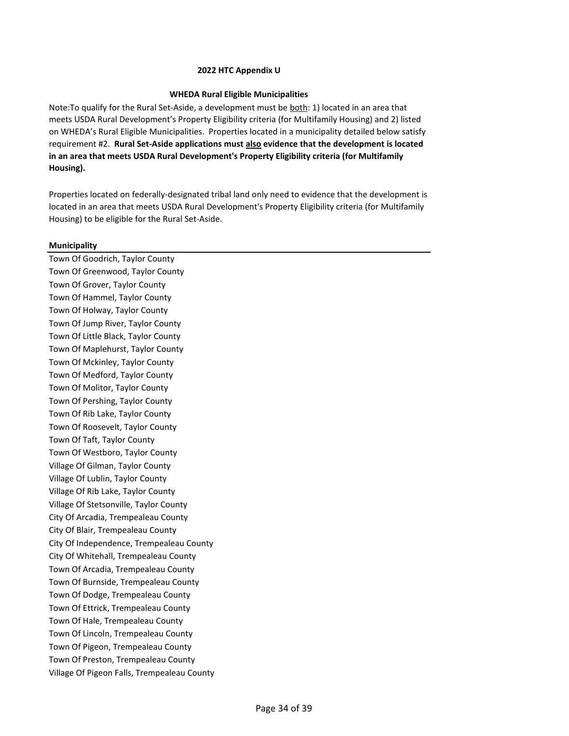## **WHEDA Rural Eligible Municipalities**

Note:To qualify for the Rural Set‐Aside, a development must be both: 1) located in an area that meets USDA Rural Development's Property Eligibility criteria (for Multifamily Housing) and 2) listed on WHEDA's Rural Eligible Municipalities. Properties located in a municipality detailed below satisfy requirement #2. **Rural Set-Aside applications must also evidence that the development is located in an area that meets USDA Rural Development's Property Eligibility criteria (for Multifamily Housing).**

Properties located on federally-designated tribal land only need to evidence that the development is located in an area that meets USDA Rural Development's Property Eligibility criteria (for Multifamily Housing) to be eligible for the Rural Set-Aside.

# **Municipality**

Town Of Goodrich, Taylor County Town Of Greenwood, Taylor County Town Of Grover, Taylor County Town Of Hammel, Taylor County Town Of Holway, Taylor County Town Of Jump River, Taylor County Town Of Little Black, Taylor County Town Of Maplehurst, Taylor County Town Of Mckinley, Taylor County Town Of Medford, Taylor County Town Of Molitor, Taylor County Town Of Pershing, Taylor County Town Of Rib Lake, Taylor County Town Of Roosevelt, Taylor County Town Of Taft, Taylor County Town Of Westboro, Taylor County Village Of Gilman, Taylor County Village Of Lublin, Taylor County Village Of Rib Lake, Taylor County Village Of Stetsonville, Taylor County City Of Arcadia, Trempealeau County City Of Blair, Trempealeau County City Of Independence, Trempealeau County City Of Whitehall, Trempealeau County Town Of Arcadia, Trempealeau County Town Of Burnside, Trempealeau County Town Of Dodge, Trempealeau County Town Of Ettrick, Trempealeau County Town Of Hale, Trempealeau County Town Of Lincoln, Trempealeau County Town Of Pigeon, Trempealeau County Town Of Preston, Trempealeau County Village Of Pigeon Falls, Trempealeau County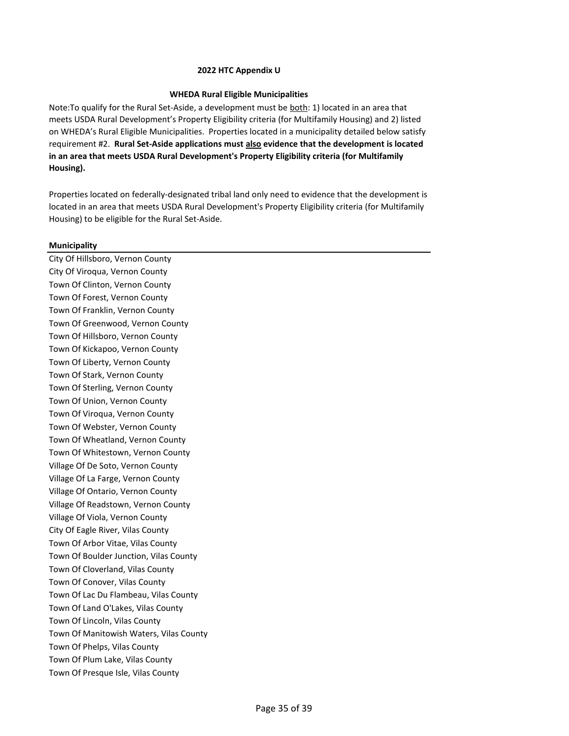## **WHEDA Rural Eligible Municipalities**

Note:To qualify for the Rural Set‐Aside, a development must be both: 1) located in an area that meets USDA Rural Development's Property Eligibility criteria (for Multifamily Housing) and 2) listed on WHEDA's Rural Eligible Municipalities. Properties located in a municipality detailed below satisfy requirement #2. **Rural Set-Aside applications must also evidence that the development is located in an area that meets USDA Rural Development's Property Eligibility criteria (for Multifamily Housing).**

Properties located on federally-designated tribal land only need to evidence that the development is located in an area that meets USDA Rural Development's Property Eligibility criteria (for Multifamily Housing) to be eligible for the Rural Set-Aside.

# **Municipality**

City Of Hillsboro, Vernon County City Of Viroqua, Vernon County Town Of Clinton, Vernon County Town Of Forest, Vernon County Town Of Franklin, Vernon County Town Of Greenwood, Vernon County Town Of Hillsboro, Vernon County Town Of Kickapoo, Vernon County Town Of Liberty, Vernon County Town Of Stark, Vernon County Town Of Sterling, Vernon County Town Of Union, Vernon County Town Of Viroqua, Vernon County Town Of Webster, Vernon County Town Of Wheatland, Vernon County Town Of Whitestown, Vernon County Village Of De Soto, Vernon County Village Of La Farge, Vernon County Village Of Ontario, Vernon County Village Of Readstown, Vernon County Village Of Viola, Vernon County City Of Eagle River, Vilas County Town Of Arbor Vitae, Vilas County Town Of Boulder Junction, Vilas County Town Of Cloverland, Vilas County Town Of Conover, Vilas County Town Of Lac Du Flambeau, Vilas County Town Of Land O'Lakes, Vilas County Town Of Lincoln, Vilas County Town Of Manitowish Waters, Vilas County Town Of Phelps, Vilas County Town Of Plum Lake, Vilas County Town Of Presque Isle, Vilas County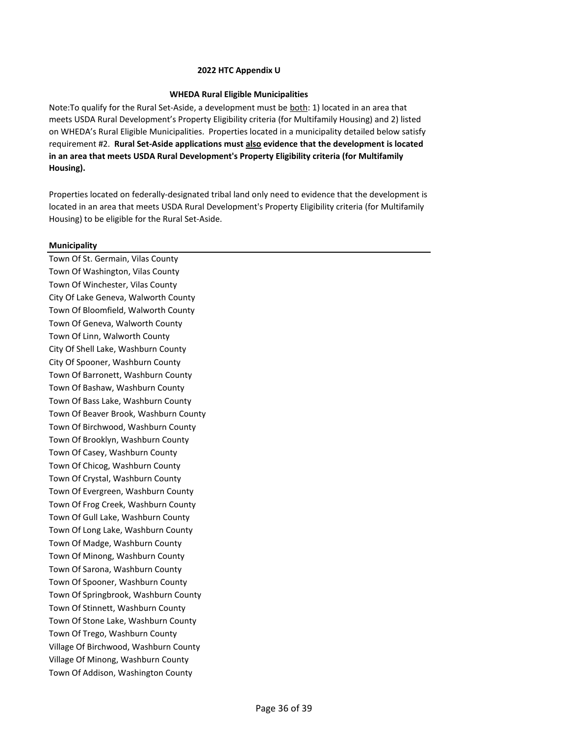### **WHEDA Rural Eligible Municipalities**

Note:To qualify for the Rural Set‐Aside, a development must be both: 1) located in an area that meets USDA Rural Development's Property Eligibility criteria (for Multifamily Housing) and 2) listed on WHEDA's Rural Eligible Municipalities. Properties located in a municipality detailed below satisfy requirement #2. **Rural Set-Aside applications must also evidence that the development is located in an area that meets USDA Rural Development's Property Eligibility criteria (for Multifamily Housing).**

Properties located on federally-designated tribal land only need to evidence that the development is located in an area that meets USDA Rural Development's Property Eligibility criteria (for Multifamily Housing) to be eligible for the Rural Set-Aside.

# **Municipality**

Town Of St. Germain, Vilas County Town Of Washington, Vilas County Town Of Winchester, Vilas County City Of Lake Geneva, Walworth County Town Of Bloomfield, Walworth County Town Of Geneva, Walworth County Town Of Linn, Walworth County City Of Shell Lake, Washburn County City Of Spooner, Washburn County Town Of Barronett, Washburn County Town Of Bashaw, Washburn County Town Of Bass Lake, Washburn County Town Of Beaver Brook, Washburn County Town Of Birchwood, Washburn County Town Of Brooklyn, Washburn County Town Of Casey, Washburn County Town Of Chicog, Washburn County Town Of Crystal, Washburn County Town Of Evergreen, Washburn County Town Of Frog Creek, Washburn County Town Of Gull Lake, Washburn County Town Of Long Lake, Washburn County Town Of Madge, Washburn County Town Of Minong, Washburn County Town Of Sarona, Washburn County Town Of Spooner, Washburn County Town Of Springbrook, Washburn County Town Of Stinnett, Washburn County Town Of Stone Lake, Washburn County Town Of Trego, Washburn County Village Of Birchwood, Washburn County Village Of Minong, Washburn County Town Of Addison, Washington County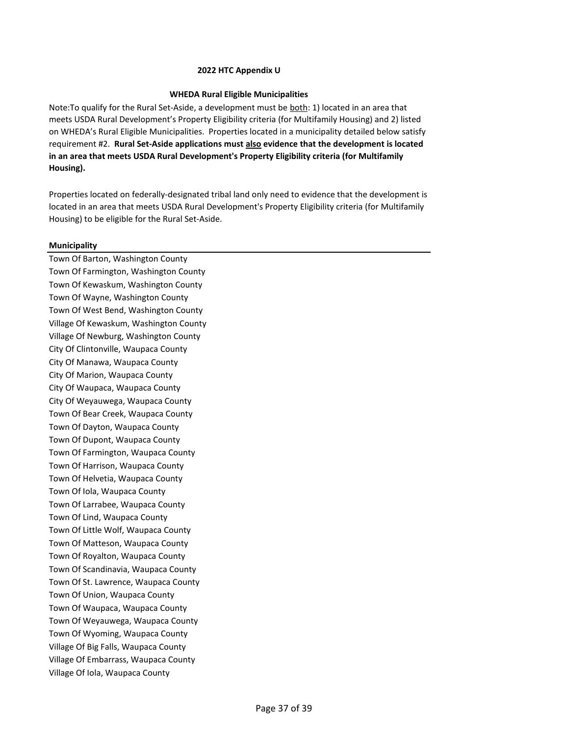### **WHEDA Rural Eligible Municipalities**

Note:To qualify for the Rural Set‐Aside, a development must be both: 1) located in an area that meets USDA Rural Development's Property Eligibility criteria (for Multifamily Housing) and 2) listed on WHEDA's Rural Eligible Municipalities. Properties located in a municipality detailed below satisfy requirement #2. **Rural Set-Aside applications must also evidence that the development is located in an area that meets USDA Rural Development's Property Eligibility criteria (for Multifamily Housing).**

Properties located on federally-designated tribal land only need to evidence that the development is located in an area that meets USDA Rural Development's Property Eligibility criteria (for Multifamily Housing) to be eligible for the Rural Set-Aside.

### **Municipality**

Town Of Barton, Washington County Town Of Farmington, Washington County Town Of Kewaskum, Washington County Town Of Wayne, Washington County Town Of West Bend, Washington County Village Of Kewaskum, Washington County Village Of Newburg, Washington County City Of Clintonville, Waupaca County City Of Manawa, Waupaca County City Of Marion, Waupaca County City Of Waupaca, Waupaca County City Of Weyauwega, Waupaca County Town Of Bear Creek, Waupaca County Town Of Dayton, Waupaca County Town Of Dupont, Waupaca County Town Of Farmington, Waupaca County Town Of Harrison, Waupaca County Town Of Helvetia, Waupaca County Town Of Iola, Waupaca County Town Of Larrabee, Waupaca County Town Of Lind, Waupaca County Town Of Little Wolf, Waupaca County Town Of Matteson, Waupaca County Town Of Royalton, Waupaca County Town Of Scandinavia, Waupaca County Town Of St. Lawrence, Waupaca County Town Of Union, Waupaca County Town Of Waupaca, Waupaca County Town Of Weyauwega, Waupaca County Town Of Wyoming, Waupaca County Village Of Big Falls, Waupaca County Village Of Embarrass, Waupaca County Village Of Iola, Waupaca County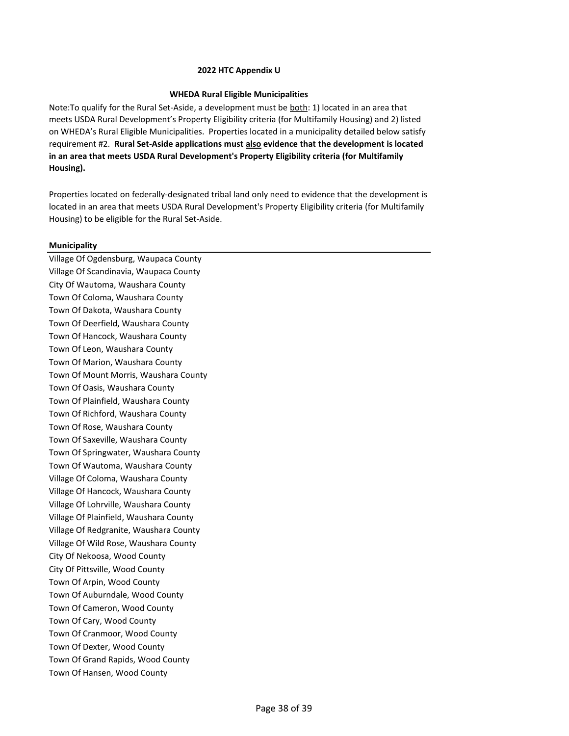## **WHEDA Rural Eligible Municipalities**

Note:To qualify for the Rural Set‐Aside, a development must be both: 1) located in an area that meets USDA Rural Development's Property Eligibility criteria (for Multifamily Housing) and 2) listed on WHEDA's Rural Eligible Municipalities. Properties located in a municipality detailed below satisfy requirement #2. **Rural Set-Aside applications must also evidence that the development is located in an area that meets USDA Rural Development's Property Eligibility criteria (for Multifamily Housing).**

Properties located on federally-designated tribal land only need to evidence that the development is located in an area that meets USDA Rural Development's Property Eligibility criteria (for Multifamily Housing) to be eligible for the Rural Set-Aside.

# **Municipality**

Village Of Ogdensburg, Waupaca County Village Of Scandinavia, Waupaca County City Of Wautoma, Waushara County Town Of Coloma, Waushara County Town Of Dakota, Waushara County Town Of Deerfield, Waushara County Town Of Hancock, Waushara County Town Of Leon, Waushara County Town Of Marion, Waushara County Town Of Mount Morris, Waushara County Town Of Oasis, Waushara County Town Of Plainfield, Waushara County Town Of Richford, Waushara County Town Of Rose, Waushara County Town Of Saxeville, Waushara County Town Of Springwater, Waushara County Town Of Wautoma, Waushara County Village Of Coloma, Waushara County Village Of Hancock, Waushara County Village Of Lohrville, Waushara County Village Of Plainfield, Waushara County Village Of Redgranite, Waushara County Village Of Wild Rose, Waushara County City Of Nekoosa, Wood County City Of Pittsville, Wood County Town Of Arpin, Wood County Town Of Auburndale, Wood County Town Of Cameron, Wood County Town Of Cary, Wood County Town Of Cranmoor, Wood County Town Of Dexter, Wood County Town Of Grand Rapids, Wood County Town Of Hansen, Wood County